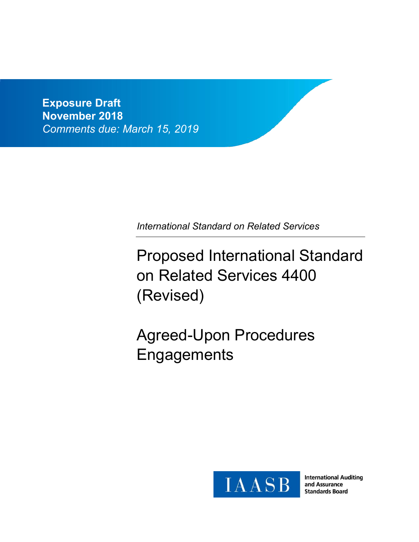**Exposure Draft November 2018** *Comments due: March 15, 2019*

*International Standard on Related Services*

Proposed International Standard on Related Services 4400 (Revised)

Agreed-Upon Procedures **Engagements** 



**International Auditing** and Assurance **Standards Board**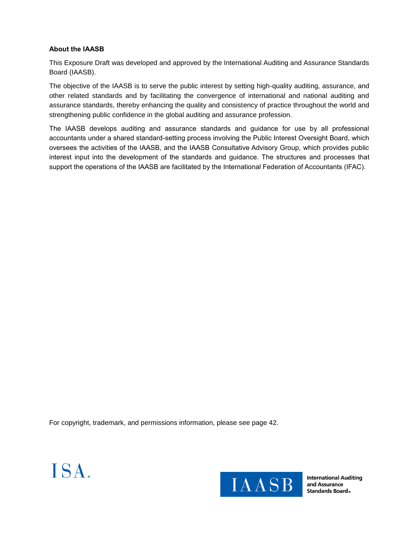### **About the IAASB**

This Exposure Draft was developed and approved by the International Auditing and Assurance Standards Board (IAASB).

The objective of the IAASB is to serve the public interest by setting high-quality auditing, assurance, and other related standards and by facilitating the convergence of international and national auditing and assurance standards, thereby enhancing the quality and consistency of practice throughout the world and strengthening public confidence in the global auditing and assurance profession.

The IAASB develops auditing and assurance standards and guidance for use by all professional accountants under a shared standard-setting process involving the Public Interest Oversight Board, which oversees the activities of the IAASB, and the IAASB Consultative Advisory Group, which provides public interest input into the development of the standards and guidance. The structures and processes that support the operations of the IAASB are facilitated by the International Federation of Accountants (IFAC).

For copyright, trademark, and permissions information, please see page 42.





**International Auditing** and Assurance **Standards Board**.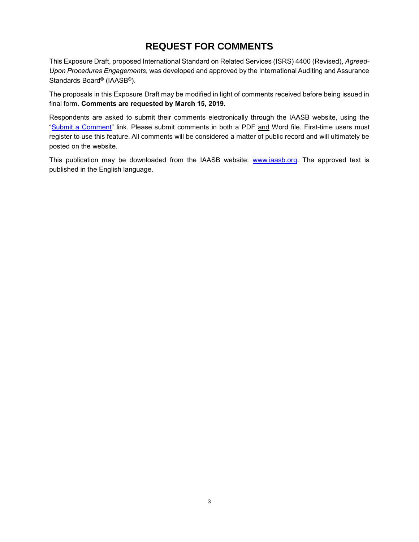# **REQUEST FOR COMMENTS**

This Exposure Draft, proposed International Standard on Related Services (ISRS) 4400 (Revised), *Agreed-Upon Procedures Engagements*, was developed and approved by the International Auditing and Assurance Standards Board® (IAASB®).

The proposals in this Exposure Draft may be modified in light of comments received before being issued in final form. **Comments are requested by March 15, 2019.**

Respondents are asked to submit their comments electronically through the IAASB website, using the "Submit a Comment" link. Please submit comments in both a PDF and Word file. First-time users must register to use this feature. All comments will be considered a matter of public record and will ultimately be posted on the website.

This publication may be downloaded from the IAASB website: www.iaasb.org. The approved text is published in the English language.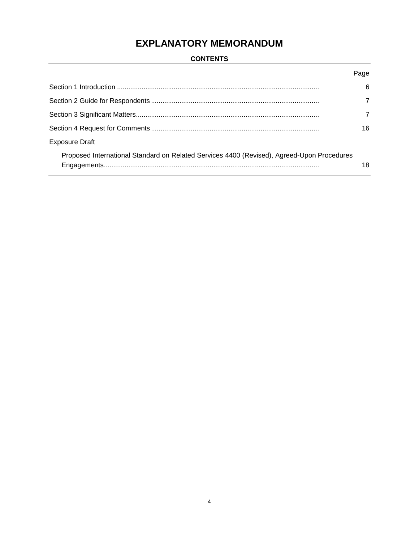# **EXPLANATORY MEMORANDUM**

# **CONTENTS**

|                                                                                            | Page |
|--------------------------------------------------------------------------------------------|------|
|                                                                                            | 6    |
|                                                                                            | 7    |
|                                                                                            | 7    |
|                                                                                            | 16   |
| <b>Exposure Draft</b>                                                                      |      |
| Proposed International Standard on Related Services 4400 (Revised), Agreed-Upon Procedures | 18   |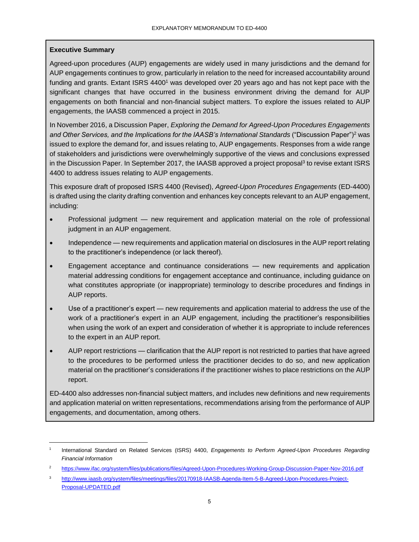# **Executive Summary**

l

Agreed-upon procedures (AUP) engagements are widely used in many jurisdictions and the demand for AUP engagements continues to grow, particularly in relation to the need for increased accountability around funding and grants. Extant ISRS 4400<sup>1</sup> was developed over 20 years ago and has not kept pace with the significant changes that have occurred in the business environment driving the demand for AUP engagements on both financial and non-financial subject matters. To explore the issues related to AUP engagements, the IAASB commenced a project in 2015.

In November 2016, a Discussion Paper, *Exploring the Demand for Agreed-Upon Procedures Engagements and Other Services, and the Implications for the IAASB's International Standards* ("Discussion Paper")<sup>2</sup> was issued to explore the demand for, and issues relating to, AUP engagements. Responses from a wide range of stakeholders and jurisdictions were overwhelmingly supportive of the views and conclusions expressed in the Discussion Paper. In September 2017, the IAASB approved a project proposal<sup>3</sup> to revise extant ISRS 4400 to address issues relating to AUP engagements.

This exposure draft of proposed ISRS 4400 (Revised), *Agreed-Upon Procedures Engagements* (ED-4400) is drafted using the clarity drafting convention and enhances key concepts relevant to an AUP engagement, including:

- Professional judgment new requirement and application material on the role of professional judgment in an AUP engagement.
- Independence new requirements and application material on disclosures in the AUP report relating to the practitioner's independence (or lack thereof).
- Engagement acceptance and continuance considerations new requirements and application material addressing conditions for engagement acceptance and continuance, including guidance on what constitutes appropriate (or inappropriate) terminology to describe procedures and findings in AUP reports.
- Use of a practitioner's expert new requirements and application material to address the use of the work of a practitioner's expert in an AUP engagement, including the practitioner's responsibilities when using the work of an expert and consideration of whether it is appropriate to include references to the expert in an AUP report.
- AUP report restrictions clarification that the AUP report is not restricted to parties that have agreed to the procedures to be performed unless the practitioner decides to do so, and new application material on the practitioner's considerations if the practitioner wishes to place restrictions on the AUP report.

ED-4400 also addresses non-financial subject matters, and includes new definitions and new requirements and application material on written representations, recommendations arising from the performance of AUP engagements, and documentation, among others.

<sup>1</sup> International Standard on Related Services (ISRS) 4400, *Engagements to Perform Agreed-Upon Procedures Regarding Financial Information*

<sup>2</sup> https://www.ifac.org/system/files/publications/files/Agreed-Upon-Procedures-Working-Group-Discussion-Paper-Nov-2016.pdf

<sup>3</sup> http://www.iaasb.org/system/files/meetings/files/20170918-IAASB-Agenda-Item-5-B-Agreed-Upon-Procedures-Project-Proposal-UPDATED.pdf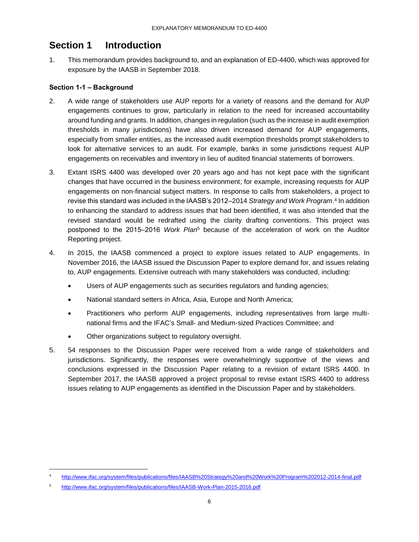# **Section 1 Introduction**

1. This memorandum provides background to, and an explanation of ED-4400, which was approved for exposure by the IAASB in September 2018.

# **Section 1-1 – Background**

- 2. A wide range of stakeholders use AUP reports for a variety of reasons and the demand for AUP engagements continues to grow, particularly in relation to the need for increased accountability around funding and grants. In addition, changes in regulation (such as the increase in audit exemption thresholds in many jurisdictions) have also driven increased demand for AUP engagements, especially from smaller entities, as the increased audit exemption thresholds prompt stakeholders to look for alternative services to an audit. For example, banks in some jurisdictions request AUP engagements on receivables and inventory in lieu of audited financial statements of borrowers.
- 3. Extant ISRS 4400 was developed over 20 years ago and has not kept pace with the significant changes that have occurred in the business environment; for example, increasing requests for AUP engagements on non-financial subject matters. In response to calls from stakeholders, a project to revise this standard was included in the IAASB's 2012–2014 *Strategy and Work Program*. 4 In addition to enhancing the standard to address issues that had been identified, it was also intended that the revised standard would be redrafted using the clarity drafting conventions. This project was postponed to the 2015‒2016 *Work Plan*<sup>5</sup> because of the acceleration of work on the Auditor Reporting project.
- 4. In 2015, the IAASB commenced a project to explore issues related to AUP engagements. In November 2016, the IAASB issued the Discussion Paper to explore demand for, and issues relating to, AUP engagements. Extensive outreach with many stakeholders was conducted, including:
	- Users of AUP engagements such as securities regulators and funding agencies;
	- National standard setters in Africa, Asia, Europe and North America;
	- Practitioners who perform AUP engagements, including representatives from large multinational firms and the IFAC's Small- and Medium-sized Practices Committee; and
	- Other organizations subject to regulatory oversight.
- 5. 54 responses to the Discussion Paper were received from a wide range of stakeholders and jurisdictions. Significantly, the responses were overwhelmingly supportive of the views and conclusions expressed in the Discussion Paper relating to a revision of extant ISRS 4400. In September 2017, the IAASB approved a project proposal to revise extant ISRS 4400 to address issues relating to AUP engagements as identified in the Discussion Paper and by stakeholders.

l

http://www.ifac.org/system/files/publications/files/IAASB%20Strategy%20and%20Work%20Program%202012-2014-final.pdf

<sup>5</sup> http://www.ifac.org/system/files/publications/files/IAASB-Work-Plan-2015-2016.pdf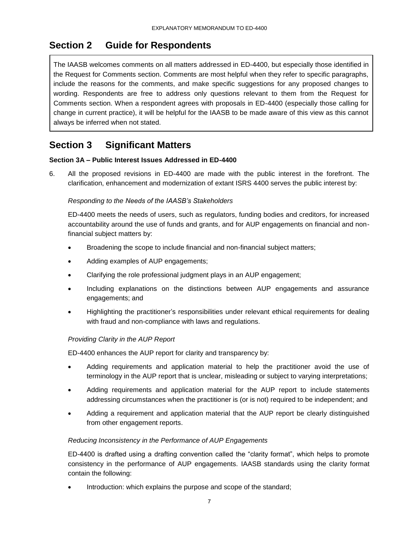# **Section 2 Guide for Respondents**

The IAASB welcomes comments on all matters addressed in ED-4400, but especially those identified in the Request for Comments section. Comments are most helpful when they refer to specific paragraphs, include the reasons for the comments, and make specific suggestions for any proposed changes to wording. Respondents are free to address only questions relevant to them from the Request for Comments section. When a respondent agrees with proposals in ED-4400 (especially those calling for change in current practice), it will be helpful for the IAASB to be made aware of this view as this cannot always be inferred when not stated.

# **Section 3 Significant Matters**

# **Section 3A – Public Interest Issues Addressed in ED-4400**

6. All the proposed revisions in ED-4400 are made with the public interest in the forefront. The clarification, enhancement and modernization of extant ISRS 4400 serves the public interest by:

# *Responding to the Needs of the IAASB's Stakeholders*

ED-4400 meets the needs of users, such as regulators, funding bodies and creditors, for increased accountability around the use of funds and grants, and for AUP engagements on financial and nonfinancial subject matters by:

- Broadening the scope to include financial and non-financial subject matters;
- Adding examples of AUP engagements;
- Clarifying the role professional judgment plays in an AUP engagement;
- Including explanations on the distinctions between AUP engagements and assurance engagements; and
- Highlighting the practitioner's responsibilities under relevant ethical requirements for dealing with fraud and non-compliance with laws and regulations.

### *Providing Clarity in the AUP Report*

ED-4400 enhances the AUP report for clarity and transparency by:

- Adding requirements and application material to help the practitioner avoid the use of terminology in the AUP report that is unclear, misleading or subject to varying interpretations;
- Adding requirements and application material for the AUP report to include statements addressing circumstances when the practitioner is (or is not) required to be independent; and
- Adding a requirement and application material that the AUP report be clearly distinguished from other engagement reports.

### *Reducing Inconsistency in the Performance of AUP Engagements*

ED-4400 is drafted using a drafting convention called the "clarity format", which helps to promote consistency in the performance of AUP engagements. IAASB standards using the clarity format contain the following:

Introduction: which explains the purpose and scope of the standard;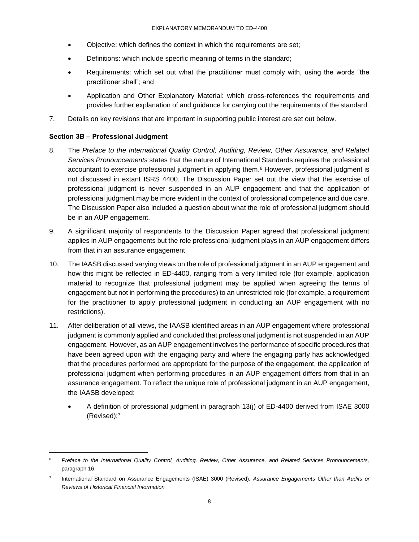- Objective: which defines the context in which the requirements are set;
- Definitions: which include specific meaning of terms in the standard;
- Requirements: which set out what the practitioner must comply with, using the words "the practitioner shall"; and
- Application and Other Explanatory Material: which cross-references the requirements and provides further explanation of and guidance for carrying out the requirements of the standard.
- 7. Details on key revisions that are important in supporting public interest are set out below.

### **Section 3B – Professional Judgment**

l

- 8. The *Preface to the International Quality Control, Auditing, Review, Other Assurance, and Related Services Pronouncements* states that the nature of International Standards requires the professional accountant to exercise professional judgment in applying them.<sup>6</sup> However, professional judgment is not discussed in extant ISRS 4400. The Discussion Paper set out the view that the exercise of professional judgment is never suspended in an AUP engagement and that the application of professional judgment may be more evident in the context of professional competence and due care. The Discussion Paper also included a question about what the role of professional judgment should be in an AUP engagement.
- 9. A significant majority of respondents to the Discussion Paper agreed that professional judgment applies in AUP engagements but the role professional judgment plays in an AUP engagement differs from that in an assurance engagement.
- 10. The IAASB discussed varying views on the role of professional judgment in an AUP engagement and how this might be reflected in ED-4400, ranging from a very limited role (for example, application material to recognize that professional judgment may be applied when agreeing the terms of engagement but not in performing the procedures) to an unrestricted role (for example, a requirement for the practitioner to apply professional judgment in conducting an AUP engagement with no restrictions).
- 11. After deliberation of all views, the IAASB identified areas in an AUP engagement where professional judgment is commonly applied and concluded that professional judgment is not suspended in an AUP engagement. However, as an AUP engagement involves the performance of specific procedures that have been agreed upon with the engaging party and where the engaging party has acknowledged that the procedures performed are appropriate for the purpose of the engagement, the application of professional judgment when performing procedures in an AUP engagement differs from that in an assurance engagement. To reflect the unique role of professional judgment in an AUP engagement, the IAASB developed:
	- A definition of professional judgment in paragraph 13(j) of ED-4400 derived from ISAE 3000 (Revised);<sup>7</sup>

<sup>6</sup> *Preface to the International Quality Control, Auditing, Review, Other Assurance, and Related Services Pronouncements,* paragraph 16

<sup>7</sup> International Standard on Assurance Engagements (ISAE) 3000 (Revised), *Assurance Engagements Other than Audits or Reviews of Historical Financial Information*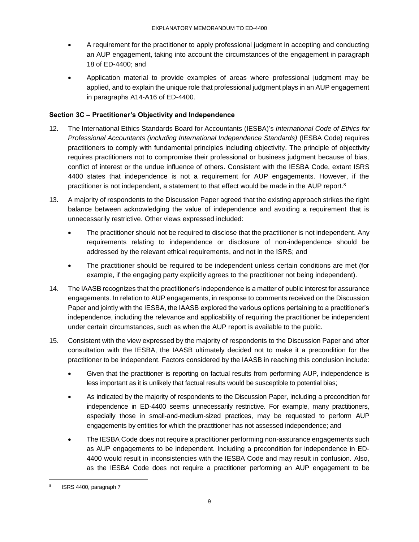- A requirement for the practitioner to apply professional judgment in accepting and conducting an AUP engagement, taking into account the circumstances of the engagement in paragraph 18 of ED-4400; and
- Application material to provide examples of areas where professional judgment may be applied, and to explain the unique role that professional judgment plays in an AUP engagement in paragraphs A14-A16 of ED-4400.

# **Section 3C – Practitioner's Objectivity and Independence**

- 12. The International Ethics Standards Board for Accountants (IESBA)'s *International Code of Ethics for Professional Accountants (including International Independence Standards)* (IESBA Code) requires practitioners to comply with fundamental principles including objectivity. The principle of objectivity requires practitioners not to compromise their professional or business judgment because of bias, conflict of interest or the undue influence of others. Consistent with the IESBA Code, extant ISRS 4400 states that independence is not a requirement for AUP engagements. However, if the practitioner is not independent, a statement to that effect would be made in the AUP report.<sup>8</sup>
- 13. A majority of respondents to the Discussion Paper agreed that the existing approach strikes the right balance between acknowledging the value of independence and avoiding a requirement that is unnecessarily restrictive. Other views expressed included:
	- The practitioner should not be required to disclose that the practitioner is not independent. Any requirements relating to independence or disclosure of non-independence should be addressed by the relevant ethical requirements, and not in the ISRS; and
	- The practitioner should be required to be independent unless certain conditions are met (for example, if the engaging party explicitly agrees to the practitioner not being independent).
- 14. The IAASB recognizes that the practitioner's independence is a matter of public interest for assurance engagements. In relation to AUP engagements, in response to comments received on the Discussion Paper and jointly with the IESBA, the IAASB explored the various options pertaining to a practitioner's independence, including the relevance and applicability of requiring the practitioner be independent under certain circumstances, such as when the AUP report is available to the public.
- 15. Consistent with the view expressed by the majority of respondents to the Discussion Paper and after consultation with the IESBA, the IAASB ultimately decided not to make it a precondition for the practitioner to be independent. Factors considered by the IAASB in reaching this conclusion include:
	- Given that the practitioner is reporting on factual results from performing AUP, independence is less important as it is unlikely that factual results would be susceptible to potential bias;
	- As indicated by the majority of respondents to the Discussion Paper, including a precondition for independence in ED-4400 seems unnecessarily restrictive. For example, many practitioners, especially those in small-and-medium-sized practices, may be requested to perform AUP engagements by entities for which the practitioner has not assessed independence; and
	- The IESBA Code does not require a practitioner performing non-assurance engagements such as AUP engagements to be independent. Including a precondition for independence in ED-4400 would result in inconsistencies with the IESBA Code and may result in confusion. Also, as the IESBA Code does not require a practitioner performing an AUP engagement to be

l

<sup>8</sup> ISRS 4400, paragraph 7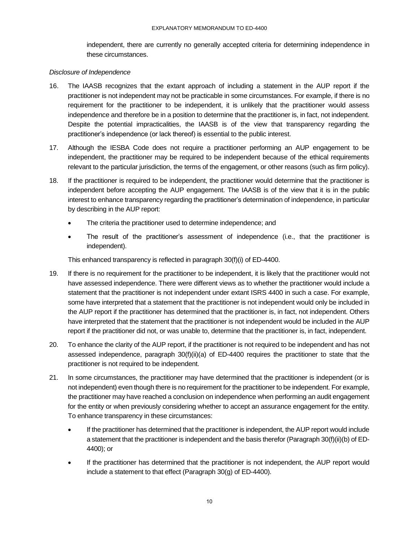independent, there are currently no generally accepted criteria for determining independence in these circumstances.

### *Disclosure of Independence*

- 16. The IAASB recognizes that the extant approach of including a statement in the AUP report if the practitioner is not independent may not be practicable in some circumstances. For example, if there is no requirement for the practitioner to be independent, it is unlikely that the practitioner would assess independence and therefore be in a position to determine that the practitioner is, in fact, not independent. Despite the potential impracticalities, the IAASB is of the view that transparency regarding the practitioner's independence (or lack thereof) is essential to the public interest.
- 17. Although the IESBA Code does not require a practitioner performing an AUP engagement to be independent, the practitioner may be required to be independent because of the ethical requirements relevant to the particular jurisdiction, the terms of the engagement, or other reasons (such as firm policy).
- 18. If the practitioner is required to be independent, the practitioner would determine that the practitioner is independent before accepting the AUP engagement. The IAASB is of the view that it is in the public interest to enhance transparency regarding the practitioner's determination of independence, in particular by describing in the AUP report:
	- The criteria the practitioner used to determine independence; and
	- The result of the practitioner's assessment of independence (i.e., that the practitioner is independent).

This enhanced transparency is reflected in paragraph 30(f)(i) of ED-4400.

- 19. If there is no requirement for the practitioner to be independent, it is likely that the practitioner would not have assessed independence. There were different views as to whether the practitioner would include a statement that the practitioner is not independent under extant ISRS 4400 in such a case. For example, some have interpreted that a statement that the practitioner is not independent would only be included in the AUP report if the practitioner has determined that the practitioner is, in fact, not independent. Others have interpreted that the statement that the practitioner is not independent would be included in the AUP report if the practitioner did not, or was unable to, determine that the practitioner is, in fact, independent.
- 20. To enhance the clarity of the AUP report, if the practitioner is not required to be independent and has not assessed independence, paragraph 30(f)(ii)(a) of ED-4400 requires the practitioner to state that the practitioner is not required to be independent.
- 21. In some circumstances, the practitioner may have determined that the practitioner is independent (or is not independent) even though there is no requirement for the practitioner to be independent. For example, the practitioner may have reached a conclusion on independence when performing an audit engagement for the entity or when previously considering whether to accept an assurance engagement for the entity. To enhance transparency in these circumstances:
	- If the practitioner has determined that the practitioner is independent, the AUP report would include a statement that the practitioner is independent and the basis therefor (Paragraph 30(f)(ii)(b) of ED-4400); or
	- If the practitioner has determined that the practitioner is not independent, the AUP report would include a statement to that effect (Paragraph 30(g) of ED-4400).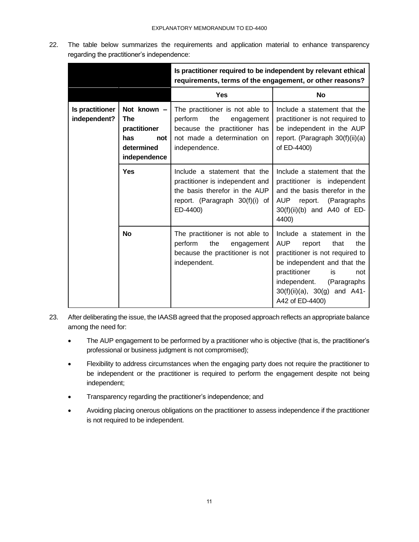22. The table below summarizes the requirements and application material to enhance transparency regarding the practitioner's independence:

|                                 |                                                                                       | Is practitioner required to be independent by relevant ethical<br>requirements, terms of the engagement, or other reasons?                      |                                                                                                                                                                                                                                                         |
|---------------------------------|---------------------------------------------------------------------------------------|-------------------------------------------------------------------------------------------------------------------------------------------------|---------------------------------------------------------------------------------------------------------------------------------------------------------------------------------------------------------------------------------------------------------|
|                                 |                                                                                       | <b>Yes</b>                                                                                                                                      | <b>No</b>                                                                                                                                                                                                                                               |
| Is practitioner<br>independent? | Not known -<br><b>The</b><br>practitioner<br>has<br>not<br>determined<br>independence | The practitioner is not able to<br>perform<br>the<br>engagement<br>because the practitioner has<br>not made a determination on<br>independence. | Include a statement that the<br>practitioner is not required to<br>be independent in the AUP<br>report. (Paragraph 30(f)(ii)(a)<br>of ED-4400)                                                                                                          |
| <b>Yes</b>                      |                                                                                       | Include a statement that the<br>practitioner is independent and<br>the basis therefor in the AUP<br>report. (Paragraph 30(f)(i) of<br>ED-4400)  | Include a statement that the<br>practitioner is independent<br>and the basis therefor in the<br>AUP report. (Paragraphs<br>$30(f)(ii)(b)$ and A40 of ED-<br>4400)                                                                                       |
|                                 | <b>No</b>                                                                             | The practitioner is not able to<br>perform<br>the<br>engagement<br>because the practitioner is not<br>independent.                              | Include a statement in the<br><b>AUP</b><br>the<br>report<br>that<br>practitioner is not required to<br>be independent and that the<br>practitioner<br>is<br>not<br>independent.<br>(Paragraphs<br>$30(f)(ii)(a)$ , $30(g)$ and A41-<br>A42 of ED-4400) |

- 23. After deliberating the issue, the IAASB agreed that the proposed approach reflects an appropriate balance among the need for:
	- The AUP engagement to be performed by a practitioner who is objective (that is, the practitioner's professional or business judgment is not compromised);
	- Flexibility to address circumstances when the engaging party does not require the practitioner to be independent or the practitioner is required to perform the engagement despite not being independent;
	- Transparency regarding the practitioner's independence; and
	- Avoiding placing onerous obligations on the practitioner to assess independence if the practitioner is not required to be independent.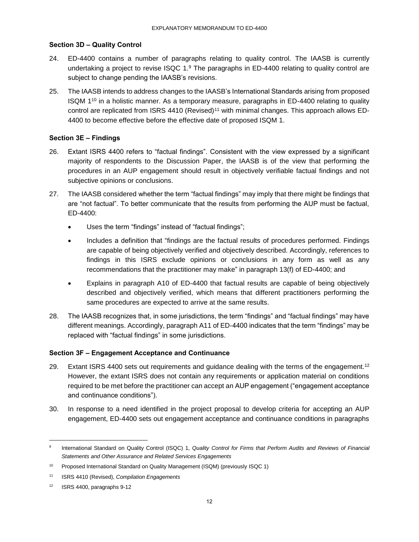## **Section 3D – Quality Control**

- 24. ED-4400 contains a number of paragraphs relating to quality control. The IAASB is currently undertaking a project to revise ISQC 1. $9$  The paragraphs in ED-4400 relating to quality control are subject to change pending the IAASB's revisions.
- 25. The IAASB intends to address changes to the IAASB's International Standards arising from proposed ISQM 1 <sup>10</sup> in a holistic manner. As a temporary measure, paragraphs in ED-4400 relating to quality control are replicated from ISRS 4410 (Revised)<sup>11</sup> with minimal changes. This approach allows ED-4400 to become effective before the effective date of proposed ISQM 1.

## **Section 3E – Findings**

- 26. Extant ISRS 4400 refers to "factual findings". Consistent with the view expressed by a significant majority of respondents to the Discussion Paper, the IAASB is of the view that performing the procedures in an AUP engagement should result in objectively verifiable factual findings and not subjective opinions or conclusions.
- 27. The IAASB considered whether the term "factual findings" may imply that there might be findings that are "not factual". To better communicate that the results from performing the AUP must be factual, ED-4400:
	- Uses the term "findings" instead of "factual findings";
	- Includes a definition that "findings are the factual results of procedures performed. Findings are capable of being objectively verified and objectively described. Accordingly, references to findings in this ISRS exclude opinions or conclusions in any form as well as any recommendations that the practitioner may make" in paragraph 13(f) of ED-4400; and
	- Explains in paragraph A10 of ED-4400 that factual results are capable of being objectively described and objectively verified, which means that different practitioners performing the same procedures are expected to arrive at the same results.
- 28. The IAASB recognizes that, in some jurisdictions, the term "findings" and "factual findings" may have different meanings. Accordingly, paragraph A11 of ED-4400 indicates that the term "findings" may be replaced with "factual findings" in some jurisdictions.

### **Section 3F – Engagement Acceptance and Continuance**

- 29. Extant ISRS 4400 sets out requirements and guidance dealing with the terms of the engagement.<sup>12</sup> However, the extant ISRS does not contain any requirements or application material on conditions required to be met before the practitioner can accept an AUP engagement ("engagement acceptance and continuance conditions").
- 30. In response to a need identified in the project proposal to develop criteria for accepting an AUP engagement, ED-4400 sets out engagement acceptance and continuance conditions in paragraphs

l

<sup>9</sup> International Standard on Quality Control (ISQC) 1, *Quality Control for Firms that Perform Audits and Reviews of Financial Statements and Other Assurance and Related Services Engagements*

<sup>&</sup>lt;sup>10</sup> Proposed International Standard on Quality Management (ISQM) (previously ISQC 1)

<sup>11</sup> ISRS 4410 (Revised), *Compilation Engagements*

<sup>12</sup> ISRS 4400, paragraphs 9-12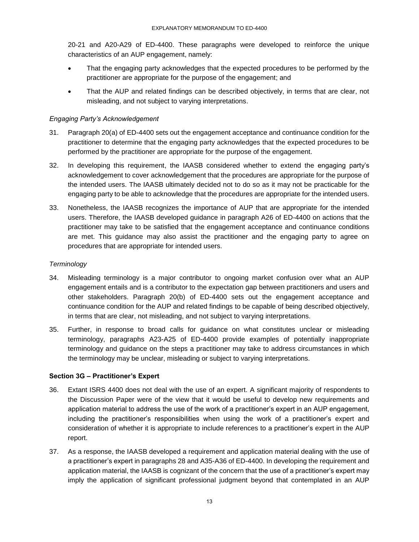20-21 and A20-A29 of ED-4400. These paragraphs were developed to reinforce the unique characteristics of an AUP engagement, namely:

- That the engaging party acknowledges that the expected procedures to be performed by the practitioner are appropriate for the purpose of the engagement; and
- That the AUP and related findings can be described objectively, in terms that are clear, not misleading, and not subject to varying interpretations.

### *Engaging Party's Acknowledgement*

- 31. Paragraph 20(a) of ED-4400 sets out the engagement acceptance and continuance condition for the practitioner to determine that the engaging party acknowledges that the expected procedures to be performed by the practitioner are appropriate for the purpose of the engagement.
- 32. In developing this requirement, the IAASB considered whether to extend the engaging party's acknowledgement to cover acknowledgement that the procedures are appropriate for the purpose of the intended users. The IAASB ultimately decided not to do so as it may not be practicable for the engaging party to be able to acknowledge that the procedures are appropriate for the intended users.
- 33. Nonetheless, the IAASB recognizes the importance of AUP that are appropriate for the intended users. Therefore, the IAASB developed guidance in paragraph A26 of ED-4400 on actions that the practitioner may take to be satisfied that the engagement acceptance and continuance conditions are met. This guidance may also assist the practitioner and the engaging party to agree on procedures that are appropriate for intended users.

### *Terminology*

- 34. Misleading terminology is a major contributor to ongoing market confusion over what an AUP engagement entails and is a contributor to the expectation gap between practitioners and users and other stakeholders. Paragraph 20(b) of ED-4400 sets out the engagement acceptance and continuance condition for the AUP and related findings to be capable of being described objectively, in terms that are clear, not misleading, and not subject to varying interpretations.
- 35. Further, in response to broad calls for guidance on what constitutes unclear or misleading terminology, paragraphs A23-A25 of ED-4400 provide examples of potentially inappropriate terminology and guidance on the steps a practitioner may take to address circumstances in which the terminology may be unclear, misleading or subject to varying interpretations.

### **Section 3G – Practitioner's Expert**

- 36. Extant ISRS 4400 does not deal with the use of an expert. A significant majority of respondents to the Discussion Paper were of the view that it would be useful to develop new requirements and application material to address the use of the work of a practitioner's expert in an AUP engagement, including the practitioner's responsibilities when using the work of a practitioner's expert and consideration of whether it is appropriate to include references to a practitioner's expert in the AUP report.
- 37. As a response, the IAASB developed a requirement and application material dealing with the use of a practitioner's expert in paragraphs 28 and A35-A36 of ED-4400. In developing the requirement and application material, the IAASB is cognizant of the concern that the use of a practitioner's expert may imply the application of significant professional judgment beyond that contemplated in an AUP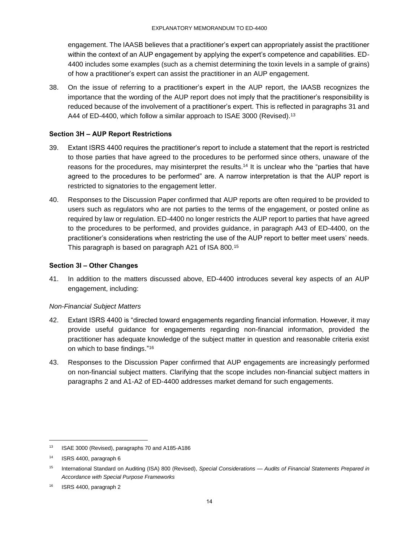engagement. The IAASB believes that a practitioner's expert can appropriately assist the practitioner within the context of an AUP engagement by applying the expert's competence and capabilities. ED-4400 includes some examples (such as a chemist determining the toxin levels in a sample of grains) of how a practitioner's expert can assist the practitioner in an AUP engagement.

38. On the issue of referring to a practitioner's expert in the AUP report, the IAASB recognizes the importance that the wording of the AUP report does not imply that the practitioner's responsibility is reduced because of the involvement of a practitioner's expert. This is reflected in paragraphs 31 and A44 of ED-4400, which follow a similar approach to ISAE 3000 (Revised).<sup>13</sup>

## **Section 3H – AUP Report Restrictions**

- 39. Extant ISRS 4400 requires the practitioner's report to include a statement that the report is restricted to those parties that have agreed to the procedures to be performed since others, unaware of the reasons for the procedures, may misinterpret the results.<sup>14</sup> It is unclear who the "parties that have agreed to the procedures to be performed" are. A narrow interpretation is that the AUP report is restricted to signatories to the engagement letter.
- 40. Responses to the Discussion Paper confirmed that AUP reports are often required to be provided to users such as regulators who are not parties to the terms of the engagement, or posted online as required by law or regulation. ED-4400 no longer restricts the AUP report to parties that have agreed to the procedures to be performed, and provides guidance, in paragraph A43 of ED-4400, on the practitioner's considerations when restricting the use of the AUP report to better meet users' needs. This paragraph is based on paragraph A21 of ISA 800.<sup>15</sup>

### **Section 3I – Other Changes**

41. In addition to the matters discussed above, ED-4400 introduces several key aspects of an AUP engagement, including:

### *Non-Financial Subject Matters*

- 42. Extant ISRS 4400 is "directed toward engagements regarding financial information. However, it may provide useful guidance for engagements regarding non-financial information, provided the practitioner has adequate knowledge of the subject matter in question and reasonable criteria exist on which to base findings."<sup>16</sup>
- 43. Responses to the Discussion Paper confirmed that AUP engagements are increasingly performed on non-financial subject matters. Clarifying that the scope includes non-financial subject matters in paragraphs 2 and A1-A2 of ED-4400 addresses market demand for such engagements.

l

<sup>13</sup> ISAE 3000 (Revised), paragraphs 70 and A185-A186

<sup>14</sup> ISRS 4400, paragraph 6

<sup>15</sup> International Standard on Auditing (ISA) 800 (Revised), *Special Considerations — Audits of Financial Statements Prepared in Accordance with Special Purpose Frameworks*

<sup>16</sup> ISRS 4400, paragraph 2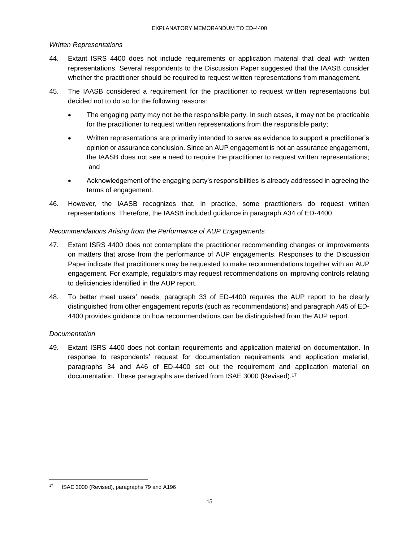### *Written Representations*

- 44. Extant ISRS 4400 does not include requirements or application material that deal with written representations. Several respondents to the Discussion Paper suggested that the IAASB consider whether the practitioner should be required to request written representations from management.
- 45. The IAASB considered a requirement for the practitioner to request written representations but decided not to do so for the following reasons:
	- The engaging party may not be the responsible party. In such cases, it may not be practicable for the practitioner to request written representations from the responsible party;
	- Written representations are primarily intended to serve as evidence to support a practitioner's opinion or assurance conclusion. Since an AUP engagement is not an assurance engagement, the IAASB does not see a need to require the practitioner to request written representations; and
	- Acknowledgement of the engaging party's responsibilities is already addressed in agreeing the terms of engagement.
- 46. However, the IAASB recognizes that, in practice, some practitioners do request written representations. Therefore, the IAASB included guidance in paragraph A34 of ED-4400.

### *Recommendations Arising from the Performance of AUP Engagements*

- 47. Extant ISRS 4400 does not contemplate the practitioner recommending changes or improvements on matters that arose from the performance of AUP engagements. Responses to the Discussion Paper indicate that practitioners may be requested to make recommendations together with an AUP engagement. For example, regulators may request recommendations on improving controls relating to deficiencies identified in the AUP report.
- 48. To better meet users' needs, paragraph 33 of ED-4400 requires the AUP report to be clearly distinguished from other engagement reports (such as recommendations) and paragraph A45 of ED-4400 provides guidance on how recommendations can be distinguished from the AUP report.

### *Documentation*

l

49. Extant ISRS 4400 does not contain requirements and application material on documentation. In response to respondents' request for documentation requirements and application material, paragraphs 34 and A46 of ED-4400 set out the requirement and application material on documentation. These paragraphs are derived from ISAE 3000 (Revised).<sup>17</sup>

<sup>17</sup> ISAE 3000 (Revised), paragraphs 79 and A196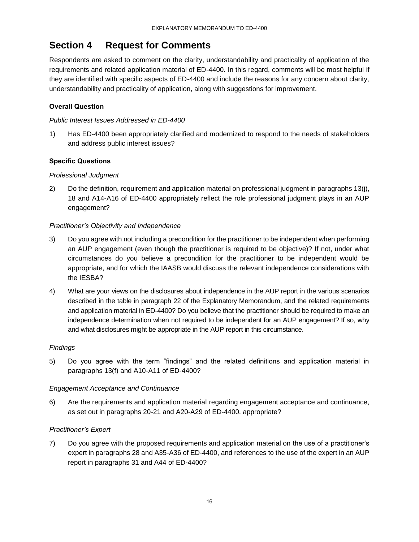# **Section 4 Request for Comments**

Respondents are asked to comment on the clarity, understandability and practicality of application of the requirements and related application material of ED-4400. In this regard, comments will be most helpful if they are identified with specific aspects of ED-4400 and include the reasons for any concern about clarity, understandability and practicality of application, along with suggestions for improvement.

# **Overall Question**

## *Public Interest Issues Addressed in ED-4400*

1) Has ED-4400 been appropriately clarified and modernized to respond to the needs of stakeholders and address public interest issues?

# **Specific Questions**

# *Professional Judgment*

2) Do the definition, requirement and application material on professional judgment in paragraphs 13(j), 18 and A14-A16 of ED-4400 appropriately reflect the role professional judgment plays in an AUP engagement?

### *Practitioner's Objectivity and Independence*

- 3) Do you agree with not including a precondition for the practitioner to be independent when performing an AUP engagement (even though the practitioner is required to be objective)? If not, under what circumstances do you believe a precondition for the practitioner to be independent would be appropriate, and for which the IAASB would discuss the relevant independence considerations with the IESBA?
- 4) What are your views on the disclosures about independence in the AUP report in the various scenarios described in the table in paragraph 22 of the Explanatory Memorandum, and the related requirements and application material in ED-4400? Do you believe that the practitioner should be required to make an independence determination when not required to be independent for an AUP engagement? If so, why and what disclosures might be appropriate in the AUP report in this circumstance.

### *Findings*

5) Do you agree with the term "findings" and the related definitions and application material in paragraphs 13(f) and A10-A11 of ED-4400?

### *Engagement Acceptance and Continuance*

6) Are the requirements and application material regarding engagement acceptance and continuance, as set out in paragraphs 20-21 and A20-A29 of ED-4400, appropriate?

# *Practitioner's Expert*

7) Do you agree with the proposed requirements and application material on the use of a practitioner's expert in paragraphs 28 and A35-A36 of ED-4400, and references to the use of the expert in an AUP report in paragraphs 31 and A44 of ED-4400?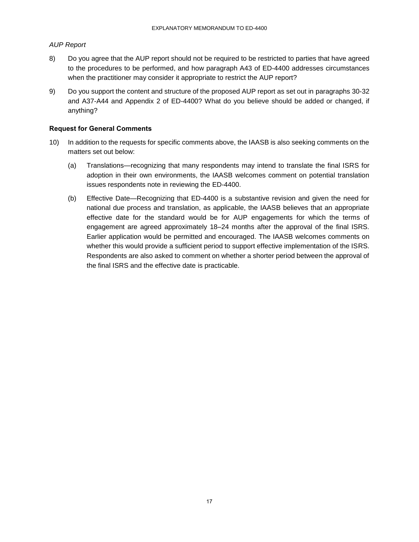### *AUP Report*

- 8) Do you agree that the AUP report should not be required to be restricted to parties that have agreed to the procedures to be performed, and how paragraph A43 of ED-4400 addresses circumstances when the practitioner may consider it appropriate to restrict the AUP report?
- 9) Do you support the content and structure of the proposed AUP report as set out in paragraphs 30-32 and A37-A44 and Appendix 2 of ED-4400? What do you believe should be added or changed, if anything?

### **Request for General Comments**

- 10) In addition to the requests for specific comments above, the IAASB is also seeking comments on the matters set out below:
	- (a) Translations—recognizing that many respondents may intend to translate the final ISRS for adoption in their own environments, the IAASB welcomes comment on potential translation issues respondents note in reviewing the ED-4400.
	- (b) Effective Date—Recognizing that ED-4400 is a substantive revision and given the need for national due process and translation, as applicable, the IAASB believes that an appropriate effective date for the standard would be for AUP engagements for which the terms of engagement are agreed approximately 18–24 months after the approval of the final ISRS. Earlier application would be permitted and encouraged. The IAASB welcomes comments on whether this would provide a sufficient period to support effective implementation of the ISRS. Respondents are also asked to comment on whether a shorter period between the approval of the final ISRS and the effective date is practicable.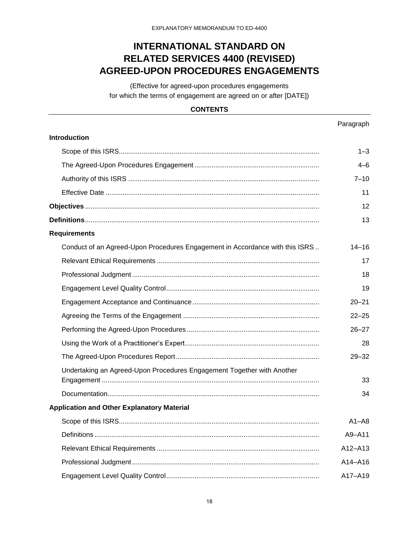# **INTERNATIONAL STANDARD ON RELATED SERVICES 4400 (REVISED) AGREED-UPON PROCEDURES ENGAGEMENTS**

(Effective for agreed-upon procedures engagements for which the terms of engagement are agreed on or after [DATE])

# **CONTENTS**

Paragraph

| Introduction                                                                 |           |
|------------------------------------------------------------------------------|-----------|
|                                                                              | $1 - 3$   |
|                                                                              | 4–6       |
|                                                                              | $7 - 10$  |
|                                                                              | 11        |
|                                                                              | 12        |
|                                                                              | 13        |
| <b>Requirements</b>                                                          |           |
| Conduct of an Agreed-Upon Procedures Engagement in Accordance with this ISRS | $14 - 16$ |
|                                                                              | 17        |
|                                                                              | 18        |
|                                                                              | 19        |
|                                                                              | $20 - 21$ |
|                                                                              | $22 - 25$ |
|                                                                              | $26 - 27$ |
|                                                                              | 28        |
|                                                                              | $29 - 32$ |
| Undertaking an Agreed-Upon Procedures Engagement Together with Another       |           |
|                                                                              | 33<br>34  |
|                                                                              |           |
| <b>Application and Other Explanatory Material</b>                            |           |
|                                                                              | $A1 - AB$ |
|                                                                              | A9-A11    |
|                                                                              | A12-A13   |
|                                                                              | A14-A16   |
|                                                                              | A17-A19   |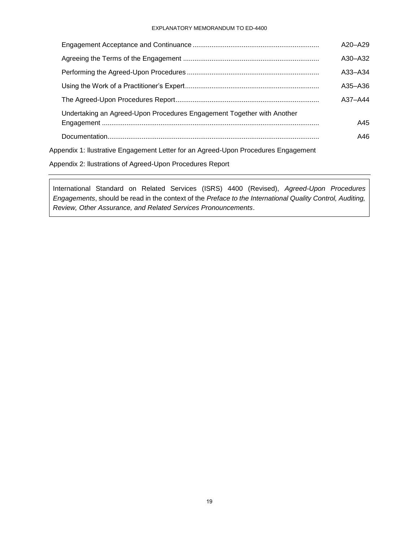#### EXPLANATORY MEMORANDUM TO ED-4400

|                                                                                    | $A20 - A29$ |
|------------------------------------------------------------------------------------|-------------|
|                                                                                    | $A30 - A32$ |
|                                                                                    | $A33 - A34$ |
|                                                                                    | $A35 - A36$ |
|                                                                                    | $A37 - A44$ |
| Undertaking an Agreed-Upon Procedures Engagement Together with Another             | A45         |
|                                                                                    | A46         |
| Appendix 1: Ilustrative Engagement Letter for an Agreed-Upon Procedures Engagement |             |
|                                                                                    |             |

Appendix 2: llustrations of Agreed-Upon Procedures Report

International Standard on Related Services (ISRS) 4400 (Revised), *Agreed-Upon Procedures Engagements*, should be read in the context of the *Preface to the International Quality Control, Auditing, Review, Other Assurance, and Related Services Pronouncements*.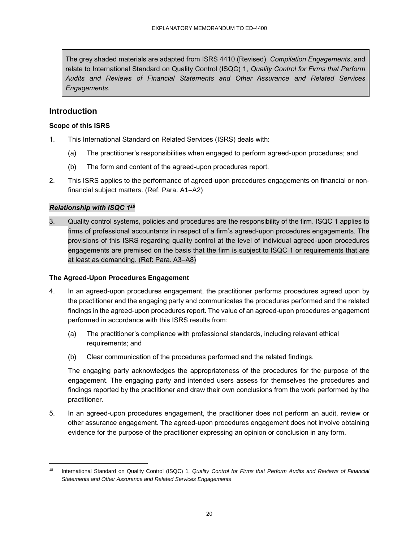The grey shaded materials are adapted from ISRS 4410 (Revised), *Compilation Engagements*, and relate to International Standard on Quality Control (ISQC) 1, *Quality Control for Firms that Perform Audits and Reviews of Financial Statements and Other Assurance and Related Services Engagements*.

# **Introduction**

## **Scope of this ISRS**

- 1. This International Standard on Related Services (ISRS) deals with:
	- (a) The practitioner's responsibilities when engaged to perform agreed-upon procedures; and
	- (b) The form and content of the agreed-upon procedures report.
- 2. This ISRS applies to the performance of agreed-upon procedures engagements on financial or nonfinancial subject matters. (Ref: Para. A1–A2)

# *Relationship with ISQC 1 18*

l

3. Quality control systems, policies and procedures are the responsibility of the firm. ISQC 1 applies to firms of professional accountants in respect of a firm's agreed-upon procedures engagements. The provisions of this ISRS regarding quality control at the level of individual agreed-upon procedures engagements are premised on the basis that the firm is subject to ISQC 1 or requirements that are at least as demanding. (Ref: Para. A3–A8)

### **The Agreed-Upon Procedures Engagement**

- 4. In an agreed-upon procedures engagement, the practitioner performs procedures agreed upon by the practitioner and the engaging party and communicates the procedures performed and the related findings in the agreed-upon procedures report. The value of an agreed-upon procedures engagement performed in accordance with this ISRS results from:
	- (a) The practitioner's compliance with professional standards, including relevant ethical requirements; and
	- (b) Clear communication of the procedures performed and the related findings.

The engaging party acknowledges the appropriateness of the procedures for the purpose of the engagement. The engaging party and intended users assess for themselves the procedures and findings reported by the practitioner and draw their own conclusions from the work performed by the practitioner.

5. In an agreed-upon procedures engagement, the practitioner does not perform an audit, review or other assurance engagement. The agreed-upon procedures engagement does not involve obtaining evidence for the purpose of the practitioner expressing an opinion or conclusion in any form.

<sup>18</sup> International Standard on Quality Control (ISQC) 1, *Quality Control for Firms that Perform Audits and Reviews of Financial Statements and Other Assurance and Related Services Engagements*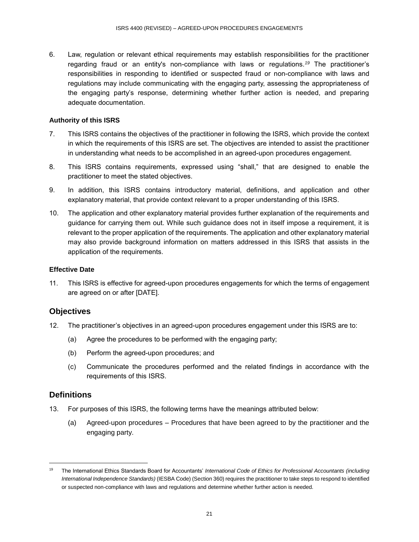6. Law, regulation or relevant ethical requirements may establish responsibilities for the practitioner regarding fraud or an entity's non-compliance with laws or regulations.*<sup>19</sup>* The practitioner's responsibilities in responding to identified or suspected fraud or non-compliance with laws and regulations may include communicating with the engaging party, assessing the appropriateness of the engaging party's response, determining whether further action is needed, and preparing adequate documentation.

### **Authority of this ISRS**

- 7. This ISRS contains the objectives of the practitioner in following the ISRS, which provide the context in which the requirements of this ISRS are set. The objectives are intended to assist the practitioner in understanding what needs to be accomplished in an agreed-upon procedures engagement.
- 8. This ISRS contains requirements, expressed using "shall," that are designed to enable the practitioner to meet the stated objectives.
- 9. In addition, this ISRS contains introductory material, definitions, and application and other explanatory material, that provide context relevant to a proper understanding of this ISRS.
- 10. The application and other explanatory material provides further explanation of the requirements and guidance for carrying them out. While such guidance does not in itself impose a requirement, it is relevant to the proper application of the requirements. The application and other explanatory material may also provide background information on matters addressed in this ISRS that assists in the application of the requirements.

## **Effective Date**

11. This ISRS is effective for agreed-upon procedures engagements for which the terms of engagement are agreed on or after [DATE].

# **Objectives**

- 12. The practitioner's objectives in an agreed-upon procedures engagement under this ISRS are to:
	- (a) Agree the procedures to be performed with the engaging party;
	- (b) Perform the agreed-upon procedures; and
	- (c) Communicate the procedures performed and the related findings in accordance with the requirements of this ISRS.

# **Definitions**

l

- 13. For purposes of this ISRS, the following terms have the meanings attributed below:
	- (a) Agreed-upon procedures Procedures that have been agreed to by the practitioner and the engaging party.

<sup>19</sup> The International Ethics Standards Board for Accountants' *International Code of Ethics for Professional Accountants (including International Independence Standards)* (IESBA Code) (Section 360) requires the practitioner to take steps to respond to identified or suspected non-compliance with laws and regulations and determine whether further action is needed.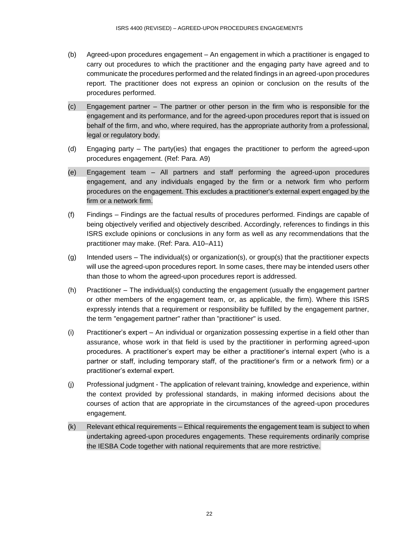- (b) Agreed-upon procedures engagement An engagement in which a practitioner is engaged to carry out procedures to which the practitioner and the engaging party have agreed and to communicate the procedures performed and the related findings in an agreed-upon procedures report. The practitioner does not express an opinion or conclusion on the results of the procedures performed.
- (c) Engagement partner The partner or other person in the firm who is responsible for the engagement and its performance, and for the agreed-upon procedures report that is issued on behalf of the firm, and who, where required, has the appropriate authority from a professional, legal or regulatory body.
- (d) Engaging party The party(ies) that engages the practitioner to perform the agreed-upon procedures engagement. (Ref: Para. A9)
- (e) Engagement team All partners and staff performing the agreed-upon procedures engagement, and any individuals engaged by the firm or a network firm who perform procedures on the engagement. This excludes a practitioner's external expert engaged by the firm or a network firm.
- (f) Findings Findings are the factual results of procedures performed. Findings are capable of being objectively verified and objectively described. Accordingly, references to findings in this ISRS exclude opinions or conclusions in any form as well as any recommendations that the practitioner may make. (Ref: Para. A10–A11)
- (g) Intended users The individual(s) or organization(s), or group(s) that the practitioner expects will use the agreed-upon procedures report. In some cases, there may be intended users other than those to whom the agreed-upon procedures report is addressed.
- (h) Practitioner The individual(s) conducting the engagement (usually the engagement partner or other members of the engagement team, or, as applicable, the firm). Where this ISRS expressly intends that a requirement or responsibility be fulfilled by the engagement partner, the term "engagement partner" rather than "practitioner" is used.
- (i) Practitioner's expert An individual or organization possessing expertise in a field other than assurance, whose work in that field is used by the practitioner in performing agreed-upon procedures. A practitioner's expert may be either a practitioner's internal expert (who is a partner or staff, including temporary staff, of the practitioner's firm or a network firm) or a practitioner's external expert.
- (j) Professional judgment The application of relevant training, knowledge and experience, within the context provided by professional standards, in making informed decisions about the courses of action that are appropriate in the circumstances of the agreed-upon procedures engagement.
- (k) Relevant ethical requirements Ethical requirements the engagement team is subject to when undertaking agreed-upon procedures engagements. These requirements ordinarily comprise the IESBA Code together with national requirements that are more restrictive.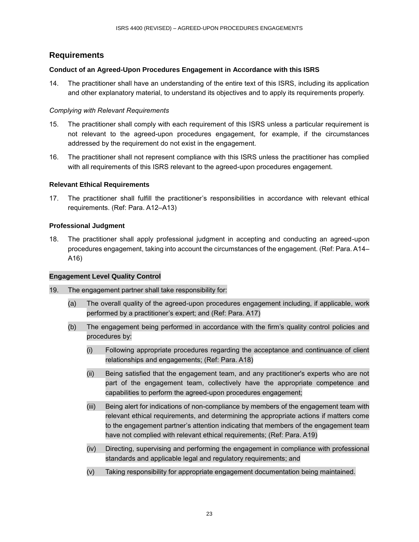# **Requirements**

### **Conduct of an Agreed-Upon Procedures Engagement in Accordance with this ISRS**

14. The practitioner shall have an understanding of the entire text of this ISRS, including its application and other explanatory material, to understand its objectives and to apply its requirements properly.

### *Complying with Relevant Requirements*

- 15. The practitioner shall comply with each requirement of this ISRS unless a particular requirement is not relevant to the agreed-upon procedures engagement, for example, if the circumstances addressed by the requirement do not exist in the engagement.
- 16. The practitioner shall not represent compliance with this ISRS unless the practitioner has complied with all requirements of this ISRS relevant to the agreed-upon procedures engagement.

### **Relevant Ethical Requirements**

17. The practitioner shall fulfill the practitioner's responsibilities in accordance with relevant ethical requirements. (Ref: Para. A12–A13)

### **Professional Judgment**

18. The practitioner shall apply professional judgment in accepting and conducting an agreed-upon procedures engagement, taking into account the circumstances of the engagement. (Ref: Para. A14– A16)

### **Engagement Level Quality Control**

- 19. The engagement partner shall take responsibility for:
	- (a) The overall quality of the agreed-upon procedures engagement including, if applicable, work performed by a practitioner's expert; and (Ref: Para. A17)
	- (b) The engagement being performed in accordance with the firm's quality control policies and procedures by:
		- (i) Following appropriate procedures regarding the acceptance and continuance of client relationships and engagements; (Ref: Para. A18)
		- (ii) Being satisfied that the engagement team, and any practitioner's experts who are not part of the engagement team, collectively have the appropriate competence and capabilities to perform the agreed-upon procedures engagement;
		- (iii) Being alert for indications of non-compliance by members of the engagement team with relevant ethical requirements, and determining the appropriate actions if matters come to the engagement partner's attention indicating that members of the engagement team have not complied with relevant ethical requirements; (Ref: Para. A19)
		- (iv) Directing, supervising and performing the engagement in compliance with professional standards and applicable legal and regulatory requirements; and
		- (v) Taking responsibility for appropriate engagement documentation being maintained.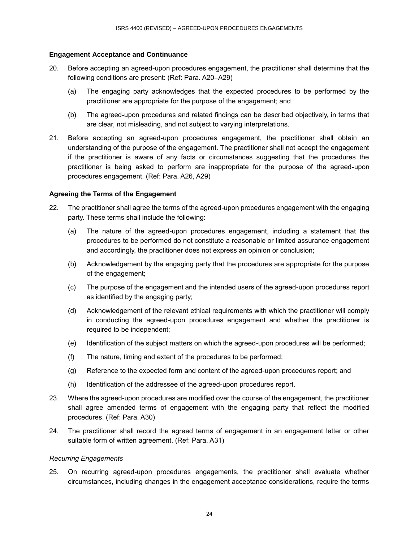### **Engagement Acceptance and Continuance**

- 20. Before accepting an agreed-upon procedures engagement, the practitioner shall determine that the following conditions are present: (Ref: Para. A20–A29)
	- (a) The engaging party acknowledges that the expected procedures to be performed by the practitioner are appropriate for the purpose of the engagement; and
	- (b) The agreed-upon procedures and related findings can be described objectively, in terms that are clear, not misleading, and not subject to varying interpretations.
- 21. Before accepting an agreed-upon procedures engagement, the practitioner shall obtain an understanding of the purpose of the engagement. The practitioner shall not accept the engagement if the practitioner is aware of any facts or circumstances suggesting that the procedures the practitioner is being asked to perform are inappropriate for the purpose of the agreed-upon procedures engagement. (Ref: Para. A26, A29)

### **Agreeing the Terms of the Engagement**

- 22. The practitioner shall agree the terms of the agreed-upon procedures engagement with the engaging party. These terms shall include the following:
	- (a) The nature of the agreed-upon procedures engagement, including a statement that the procedures to be performed do not constitute a reasonable or limited assurance engagement and accordingly, the practitioner does not express an opinion or conclusion;
	- (b) Acknowledgement by the engaging party that the procedures are appropriate for the purpose of the engagement;
	- (c) The purpose of the engagement and the intended users of the agreed-upon procedures report as identified by the engaging party;
	- (d) Acknowledgement of the relevant ethical requirements with which the practitioner will comply in conducting the agreed-upon procedures engagement and whether the practitioner is required to be independent;
	- (e) Identification of the subject matters on which the agreed-upon procedures will be performed;
	- (f) The nature, timing and extent of the procedures to be performed;
	- (g) Reference to the expected form and content of the agreed-upon procedures report; and
	- (h) Identification of the addressee of the agreed-upon procedures report.
- 23. Where the agreed-upon procedures are modified over the course of the engagement, the practitioner shall agree amended terms of engagement with the engaging party that reflect the modified procedures. (Ref: Para. A30)
- 24. The practitioner shall record the agreed terms of engagement in an engagement letter or other suitable form of written agreement. (Ref: Para. A31)

#### *Recurring Engagements*

25. On recurring agreed-upon procedures engagements, the practitioner shall evaluate whether circumstances, including changes in the engagement acceptance considerations, require the terms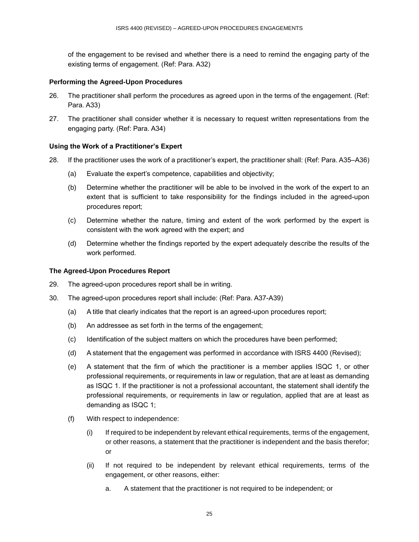of the engagement to be revised and whether there is a need to remind the engaging party of the existing terms of engagement. (Ref: Para. A32)

### **Performing the Agreed-Upon Procedures**

- 26. The practitioner shall perform the procedures as agreed upon in the terms of the engagement. (Ref: Para. A33)
- 27. The practitioner shall consider whether it is necessary to request written representations from the engaging party. (Ref: Para. A34)

### **Using the Work of a Practitioner's Expert**

- 28. If the practitioner uses the work of a practitioner's expert, the practitioner shall: (Ref: Para. A35–A36)
	- (a) Evaluate the expert's competence, capabilities and objectivity;
	- (b) Determine whether the practitioner will be able to be involved in the work of the expert to an extent that is sufficient to take responsibility for the findings included in the agreed-upon procedures report;
	- (c) Determine whether the nature, timing and extent of the work performed by the expert is consistent with the work agreed with the expert; and
	- (d) Determine whether the findings reported by the expert adequately describe the results of the work performed.

### **The Agreed-Upon Procedures Report**

- 29. The agreed-upon procedures report shall be in writing.
- 30. The agreed-upon procedures report shall include: (Ref: Para. A37-A39)
	- (a) A title that clearly indicates that the report is an agreed-upon procedures report;
	- (b) An addressee as set forth in the terms of the engagement;
	- (c) Identification of the subject matters on which the procedures have been performed;
	- (d) A statement that the engagement was performed in accordance with ISRS 4400 (Revised);
	- (e) A statement that the firm of which the practitioner is a member applies ISQC 1, or other professional requirements, or requirements in law or regulation, that are at least as demanding as ISQC 1. If the practitioner is not a professional accountant, the statement shall identify the professional requirements, or requirements in law or regulation, applied that are at least as demanding as ISQC 1;
	- (f) With respect to independence:
		- (i) If required to be independent by relevant ethical requirements, terms of the engagement, or other reasons, a statement that the practitioner is independent and the basis therefor; or
		- (ii) If not required to be independent by relevant ethical requirements, terms of the engagement, or other reasons, either:
			- a. A statement that the practitioner is not required to be independent; or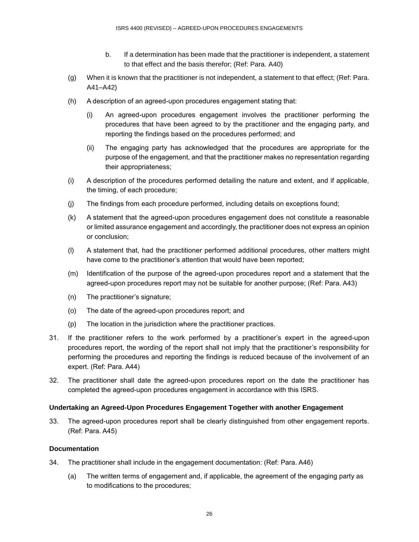- b. If a determination has been made that the practitioner is independent, a statement to that effect and the basis therefor; (Ref: Para. A40)
- (g) When it is known that the practitioner is not independent, a statement to that effect; (Ref: Para. A41–A42)
- (h) A description of an agreed-upon procedures engagement stating that:
	- (i) An agreed-upon procedures engagement involves the practitioner performing the procedures that have been agreed to by the practitioner and the engaging party, and reporting the findings based on the procedures performed; and
	- (ii) The engaging party has acknowledged that the procedures are appropriate for the purpose of the engagement, and that the practitioner makes no representation regarding their appropriateness;
- (i) A description of the procedures performed detailing the nature and extent, and if applicable, the timing, of each procedure;
- (j) The findings from each procedure performed, including details on exceptions found;
- (k) A statement that the agreed-upon procedures engagement does not constitute a reasonable or limited assurance engagement and accordingly, the practitioner does not express an opinion or conclusion;
- (l) A statement that, had the practitioner performed additional procedures, other matters might have come to the practitioner's attention that would have been reported;
- (m) Identification of the purpose of the agreed-upon procedures report and a statement that the agreed-upon procedures report may not be suitable for another purpose; (Ref: Para. A43)
- (n) The practitioner's signature;
- (o) The date of the agreed-upon procedures report; and
- (p) The location in the jurisdiction where the practitioner practices.
- 31. If the practitioner refers to the work performed by a practitioner's expert in the agreed-upon procedures report, the wording of the report shall not imply that the practitioner's responsibility for performing the procedures and reporting the findings is reduced because of the involvement of an expert. (Ref: Para. A44)
- 32. The practitioner shall date the agreed-upon procedures report on the date the practitioner has completed the agreed-upon procedures engagement in accordance with this ISRS.

#### **Undertaking an Agreed-Upon Procedures Engagement Together with another Engagement**

33. The agreed-upon procedures report shall be clearly distinguished from other engagement reports. (Ref: Para. A45)

#### **Documentation**

- 34. The practitioner shall include in the engagement documentation: (Ref: Para. A46)
	- (a) The written terms of engagement and, if applicable, the agreement of the engaging party as to modifications to the procedures;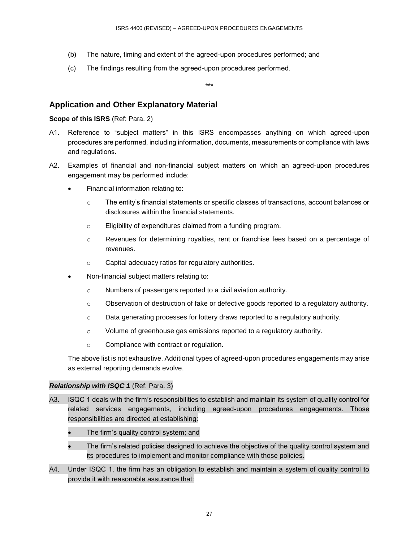- (b) The nature, timing and extent of the agreed-upon procedures performed; and
- (c) The findings resulting from the agreed-upon procedures performed.

\*\*\*

# **Application and Other Explanatory Material**

## **Scope of this ISRS** (Ref: Para. 2)

- A1. Reference to "subject matters" in this ISRS encompasses anything on which agreed-upon procedures are performed, including information, documents, measurements or compliance with laws and regulations.
- A2. Examples of financial and non-financial subject matters on which an agreed-upon procedures engagement may be performed include:
	- Financial information relating to:
		- o The entity's financial statements or specific classes of transactions, account balances or disclosures within the financial statements.
		- o Eligibility of expenditures claimed from a funding program.
		- o Revenues for determining royalties, rent or franchise fees based on a percentage of revenues.
		- o Capital adequacy ratios for regulatory authorities.
	- Non-financial subject matters relating to:
		- o Numbers of passengers reported to a civil aviation authority.
		- $\circ$  Observation of destruction of fake or defective goods reported to a regulatory authority.
		- $\circ$  Data generating processes for lottery draws reported to a regulatory authority.
		- o Volume of greenhouse gas emissions reported to a regulatory authority.
		- o Compliance with contract or regulation.

The above list is not exhaustive. Additional types of agreed-upon procedures engagements may arise as external reporting demands evolve.

# *Relationship with ISQC 1* (Ref: Para. 3)

- A3. ISQC 1 deals with the firm's responsibilities to establish and maintain its system of quality control for related services engagements, including agreed-upon procedures engagements. Those responsibilities are directed at establishing:
	- The firm's quality control system; and
	- The firm's related policies designed to achieve the objective of the quality control system and its procedures to implement and monitor compliance with those policies.
- A4. Under ISQC 1, the firm has an obligation to establish and maintain a system of quality control to provide it with reasonable assurance that: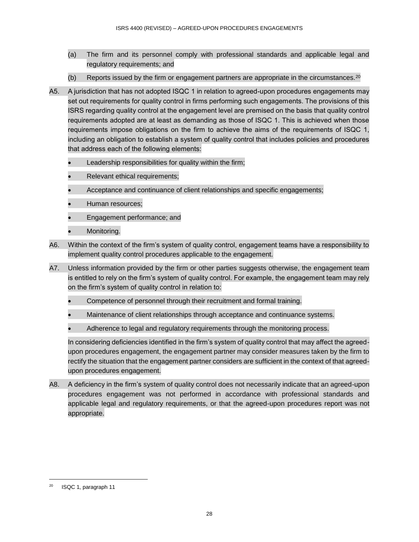- (a) The firm and its personnel comply with professional standards and applicable legal and regulatory requirements; and
- (b) Reports issued by the firm or engagement partners are appropriate in the circumstances.<sup>20</sup>
- A5. A jurisdiction that has not adopted ISQC 1 in relation to agreed-upon procedures engagements may set out requirements for quality control in firms performing such engagements. The provisions of this ISRS regarding quality control at the engagement level are premised on the basis that quality control requirements adopted are at least as demanding as those of ISQC 1. This is achieved when those requirements impose obligations on the firm to achieve the aims of the requirements of ISQC 1, including an obligation to establish a system of quality control that includes policies and procedures that address each of the following elements:
	- Leadership responsibilities for quality within the firm;
	- Relevant ethical requirements;
	- Acceptance and continuance of client relationships and specific engagements;
	- Human resources;
	- Engagement performance; and
	- Monitoring.
- A6. Within the context of the firm's system of quality control, engagement teams have a responsibility to implement quality control procedures applicable to the engagement.
- A7. Unless information provided by the firm or other parties suggests otherwise, the engagement team is entitled to rely on the firm's system of quality control. For example, the engagement team may rely on the firm's system of quality control in relation to:
	- Competence of personnel through their recruitment and formal training.
	- Maintenance of client relationships through acceptance and continuance systems.
	- Adherence to legal and regulatory requirements through the monitoring process.

In considering deficiencies identified in the firm's system of quality control that may affect the agreedupon procedures engagement, the engagement partner may consider measures taken by the firm to rectify the situation that the engagement partner considers are sufficient in the context of that agreedupon procedures engagement.

A8. A deficiency in the firm's system of quality control does not necessarily indicate that an agreed-upon procedures engagement was not performed in accordance with professional standards and applicable legal and regulatory requirements, or that the agreed-upon procedures report was not appropriate.

l

<sup>20</sup> ISQC 1, paragraph 11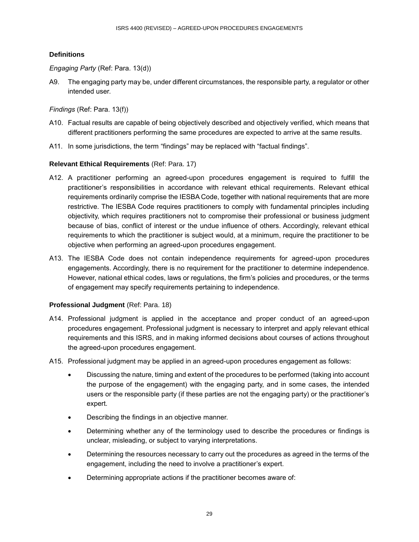## **Definitions**

### *Engaging Party* (Ref: Para. 13(d))

A9. The engaging party may be, under different circumstances, the responsible party, a regulator or other intended user.

*Findings* (Ref: Para. 13(f))

- A10. Factual results are capable of being objectively described and objectively verified, which means that different practitioners performing the same procedures are expected to arrive at the same results.
- A11. In some jurisdictions, the term "findings" may be replaced with "factual findings".

### **Relevant Ethical Requirements** (Ref: Para. 17)

- A12. A practitioner performing an agreed-upon procedures engagement is required to fulfill the practitioner's responsibilities in accordance with relevant ethical requirements. Relevant ethical requirements ordinarily comprise the IESBA Code, together with national requirements that are more restrictive. The IESBA Code requires practitioners to comply with fundamental principles including objectivity, which requires practitioners not to compromise their professional or business judgment because of bias, conflict of interest or the undue influence of others. Accordingly, relevant ethical requirements to which the practitioner is subject would, at a minimum, require the practitioner to be objective when performing an agreed-upon procedures engagement.
- A13. The IESBA Code does not contain independence requirements for agreed-upon procedures engagements. Accordingly, there is no requirement for the practitioner to determine independence. However, national ethical codes, laws or regulations, the firm's policies and procedures, or the terms of engagement may specify requirements pertaining to independence.

### **Professional Judgment** (Ref: Para. 18)

- A14. Professional judgment is applied in the acceptance and proper conduct of an agreed-upon procedures engagement. Professional judgment is necessary to interpret and apply relevant ethical requirements and this ISRS, and in making informed decisions about courses of actions throughout the agreed-upon procedures engagement.
- A15. Professional judgment may be applied in an agreed-upon procedures engagement as follows:
	- Discussing the nature, timing and extent of the procedures to be performed (taking into account the purpose of the engagement) with the engaging party, and in some cases, the intended users or the responsible party (if these parties are not the engaging party) or the practitioner's expert.
	- Describing the findings in an objective manner.
	- Determining whether any of the terminology used to describe the procedures or findings is unclear, misleading, or subject to varying interpretations.
	- Determining the resources necessary to carry out the procedures as agreed in the terms of the engagement, including the need to involve a practitioner's expert.
	- Determining appropriate actions if the practitioner becomes aware of: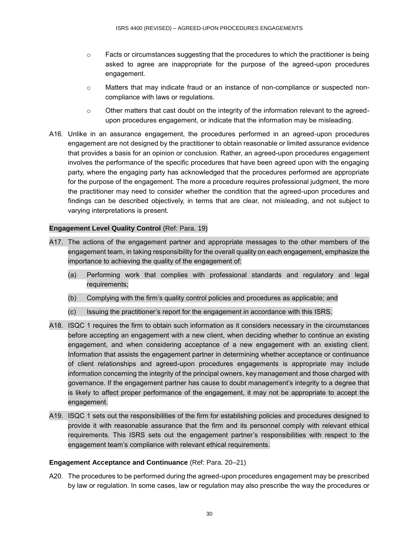- $\circ$  Facts or circumstances suggesting that the procedures to which the practitioner is being asked to agree are inappropriate for the purpose of the agreed-upon procedures engagement.
- o Matters that may indicate fraud or an instance of non-compliance or suspected noncompliance with laws or regulations.
- $\circ$  Other matters that cast doubt on the integrity of the information relevant to the agreedupon procedures engagement, or indicate that the information may be misleading.
- A16. Unlike in an assurance engagement, the procedures performed in an agreed-upon procedures engagement are not designed by the practitioner to obtain reasonable or limited assurance evidence that provides a basis for an opinion or conclusion. Rather, an agreed-upon procedures engagement involves the performance of the specific procedures that have been agreed upon with the engaging party, where the engaging party has acknowledged that the procedures performed are appropriate for the purpose of the engagement. The more a procedure requires professional judgment, the more the practitioner may need to consider whether the condition that the agreed-upon procedures and findings can be described objectively, in terms that are clear, not misleading, and not subject to varying interpretations is present.

### **Engagement Level Quality Control (Ref: Para. 19)**

- A17. The actions of the engagement partner and appropriate messages to the other members of the engagement team, in taking responsibility for the overall quality on each engagement, emphasize the importance to achieving the quality of the engagement of:
	- (a) Performing work that complies with professional standards and regulatory and legal requirements;
	- (b) Complying with the firm's quality control policies and procedures as applicable; and
	- (c) Issuing the practitioner's report for the engagement in accordance with this ISRS.
- A18. ISQC 1 requires the firm to obtain such information as it considers necessary in the circumstances before accepting an engagement with a new client, when deciding whether to continue an existing engagement, and when considering acceptance of a new engagement with an existing client. Information that assists the engagement partner in determining whether acceptance or continuance of client relationships and agreed-upon procedures engagements is appropriate may include information concerning the integrity of the principal owners, key management and those charged with governance. If the engagement partner has cause to doubt management's integrity to a degree that is likely to affect proper performance of the engagement, it may not be appropriate to accept the engagement.
- A19. ISQC 1 sets out the responsibilities of the firm for establishing policies and procedures designed to provide it with reasonable assurance that the firm and its personnel comply with relevant ethical requirements. This ISRS sets out the engagement partner's responsibilities with respect to the engagement team's compliance with relevant ethical requirements.

#### **Engagement Acceptance and Continuance** (Ref: Para. 20–21)

A20. The procedures to be performed during the agreed-upon procedures engagement may be prescribed by law or regulation. In some cases, law or regulation may also prescribe the way the procedures or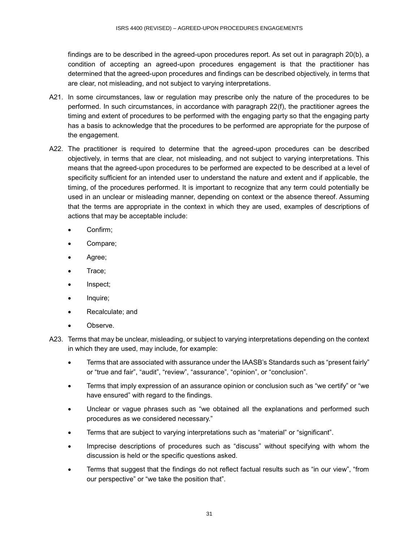findings are to be described in the agreed-upon procedures report. As set out in paragraph 20(b), a condition of accepting an agreed-upon procedures engagement is that the practitioner has determined that the agreed-upon procedures and findings can be described objectively, in terms that are clear, not misleading, and not subject to varying interpretations.

- A21. In some circumstances, law or regulation may prescribe only the nature of the procedures to be performed. In such circumstances, in accordance with paragraph 22(f), the practitioner agrees the timing and extent of procedures to be performed with the engaging party so that the engaging party has a basis to acknowledge that the procedures to be performed are appropriate for the purpose of the engagement.
- A22. The practitioner is required to determine that the agreed-upon procedures can be described objectively, in terms that are clear, not misleading, and not subject to varying interpretations. This means that the agreed-upon procedures to be performed are expected to be described at a level of specificity sufficient for an intended user to understand the nature and extent and if applicable, the timing, of the procedures performed. It is important to recognize that any term could potentially be used in an unclear or misleading manner, depending on context or the absence thereof. Assuming that the terms are appropriate in the context in which they are used, examples of descriptions of actions that may be acceptable include:
	- Confirm;
	- Compare;
	- Agree;
	- Trace;
	- Inspect;
	- Inquire;
	- Recalculate; and
	- Observe.
- A23. Terms that may be unclear, misleading, or subject to varying interpretations depending on the context in which they are used, may include, for example:
	- Terms that are associated with assurance under the IAASB's Standards such as "present fairly" or "true and fair", "audit", "review", "assurance", "opinion", or "conclusion".
	- Terms that imply expression of an assurance opinion or conclusion such as "we certify" or "we have ensured" with regard to the findings.
	- Unclear or vague phrases such as "we obtained all the explanations and performed such procedures as we considered necessary."
	- Terms that are subject to varying interpretations such as "material" or "significant".
	- Imprecise descriptions of procedures such as "discuss" without specifying with whom the discussion is held or the specific questions asked.
	- Terms that suggest that the findings do not reflect factual results such as "in our view", "from our perspective" or "we take the position that".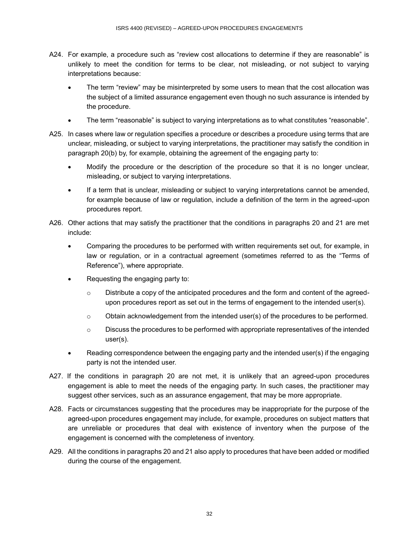- A24. For example, a procedure such as "review cost allocations to determine if they are reasonable" is unlikely to meet the condition for terms to be clear, not misleading, or not subject to varying interpretations because:
	- The term "review" may be misinterpreted by some users to mean that the cost allocation was the subject of a limited assurance engagement even though no such assurance is intended by the procedure.
	- The term "reasonable" is subject to varying interpretations as to what constitutes "reasonable".
- A25. In cases where law or regulation specifies a procedure or describes a procedure using terms that are unclear, misleading, or subject to varying interpretations, the practitioner may satisfy the condition in paragraph 20(b) by, for example, obtaining the agreement of the engaging party to:
	- Modify the procedure or the description of the procedure so that it is no longer unclear, misleading, or subject to varying interpretations.
	- If a term that is unclear, misleading or subject to varying interpretations cannot be amended, for example because of law or regulation, include a definition of the term in the agreed-upon procedures report.
- A26. Other actions that may satisfy the practitioner that the conditions in paragraphs 20 and 21 are met include:
	- Comparing the procedures to be performed with written requirements set out, for example, in law or regulation, or in a contractual agreement (sometimes referred to as the "Terms of Reference"), where appropriate.
	- Requesting the engaging party to:
		- $\circ$  Distribute a copy of the anticipated procedures and the form and content of the agreedupon procedures report as set out in the terms of engagement to the intended user(s).
		- $\circ$  Obtain acknowledgement from the intended user(s) of the procedures to be performed.
		- $\circ$  Discuss the procedures to be performed with appropriate representatives of the intended user(s).
	- Reading correspondence between the engaging party and the intended user(s) if the engaging party is not the intended user.
- A27. If the conditions in paragraph 20 are not met, it is unlikely that an agreed-upon procedures engagement is able to meet the needs of the engaging party. In such cases, the practitioner may suggest other services, such as an assurance engagement, that may be more appropriate.
- A28. Facts or circumstances suggesting that the procedures may be inappropriate for the purpose of the agreed-upon procedures engagement may include, for example, procedures on subject matters that are unreliable or procedures that deal with existence of inventory when the purpose of the engagement is concerned with the completeness of inventory.
- A29. All the conditions in paragraphs 20 and 21 also apply to procedures that have been added or modified during the course of the engagement.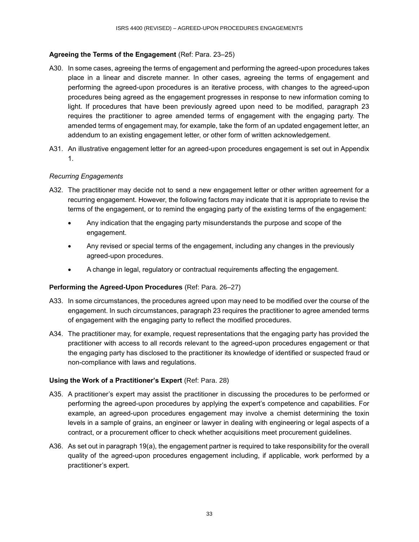# **Agreeing the Terms of the Engagement** (Ref: Para. 23–25)

- A30. In some cases, agreeing the terms of engagement and performing the agreed-upon procedures takes place in a linear and discrete manner. In other cases, agreeing the terms of engagement and performing the agreed-upon procedures is an iterative process, with changes to the agreed-upon procedures being agreed as the engagement progresses in response to new information coming to light. If procedures that have been previously agreed upon need to be modified, paragraph 23 requires the practitioner to agree amended terms of engagement with the engaging party. The amended terms of engagement may, for example, take the form of an updated engagement letter, an addendum to an existing engagement letter, or other form of written acknowledgement.
- A31. An illustrative engagement letter for an agreed-upon procedures engagement is set out in Appendix 1.

# *Recurring Engagements*

- A32. The practitioner may decide not to send a new engagement letter or other written agreement for a recurring engagement. However, the following factors may indicate that it is appropriate to revise the terms of the engagement, or to remind the engaging party of the existing terms of the engagement:
	- Any indication that the engaging party misunderstands the purpose and scope of the engagement.
	- Any revised or special terms of the engagement, including any changes in the previously agreed-upon procedures.
	- A change in legal, regulatory or contractual requirements affecting the engagement.

### **Performing the Agreed-Upon Procedures** (Ref: Para. 26–27)

- A33. In some circumstances, the procedures agreed upon may need to be modified over the course of the engagement. In such circumstances, paragraph 23 requires the practitioner to agree amended terms of engagement with the engaging party to reflect the modified procedures.
- A34. The practitioner may, for example, request representations that the engaging party has provided the practitioner with access to all records relevant to the agreed-upon procedures engagement or that the engaging party has disclosed to the practitioner its knowledge of identified or suspected fraud or non-compliance with laws and regulations.

### **Using the Work of a Practitioner's Expert** (Ref: Para. 28)

- A35. A practitioner's expert may assist the practitioner in discussing the procedures to be performed or performing the agreed-upon procedures by applying the expert's competence and capabilities. For example, an agreed-upon procedures engagement may involve a chemist determining the toxin levels in a sample of grains, an engineer or lawyer in dealing with engineering or legal aspects of a contract, or a procurement officer to check whether acquisitions meet procurement guidelines.
- A36. As set out in paragraph 19(a), the engagement partner is required to take responsibility for the overall quality of the agreed-upon procedures engagement including, if applicable, work performed by a practitioner's expert.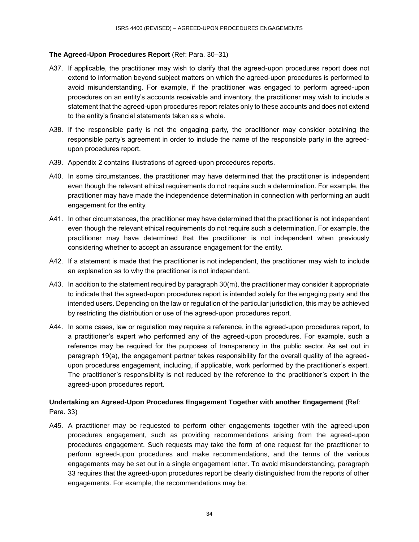## **The Agreed-Upon Procedures Report** (Ref: Para. 30–31)

- A37. If applicable, the practitioner may wish to clarify that the agreed-upon procedures report does not extend to information beyond subject matters on which the agreed-upon procedures is performed to avoid misunderstanding. For example, if the practitioner was engaged to perform agreed-upon procedures on an entity's accounts receivable and inventory, the practitioner may wish to include a statement that the agreed-upon procedures report relates only to these accounts and does not extend to the entity's financial statements taken as a whole.
- A38. If the responsible party is not the engaging party, the practitioner may consider obtaining the responsible party's agreement in order to include the name of the responsible party in the agreedupon procedures report.
- A39. Appendix 2 contains illustrations of agreed-upon procedures reports.
- A40. In some circumstances, the practitioner may have determined that the practitioner is independent even though the relevant ethical requirements do not require such a determination. For example, the practitioner may have made the independence determination in connection with performing an audit engagement for the entity.
- A41. In other circumstances, the practitioner may have determined that the practitioner is not independent even though the relevant ethical requirements do not require such a determination. For example, the practitioner may have determined that the practitioner is not independent when previously considering whether to accept an assurance engagement for the entity.
- A42. If a statement is made that the practitioner is not independent, the practitioner may wish to include an explanation as to why the practitioner is not independent.
- A43. In addition to the statement required by paragraph 30(m), the practitioner may consider it appropriate to indicate that the agreed-upon procedures report is intended solely for the engaging party and the intended users. Depending on the law or regulation of the particular jurisdiction, this may be achieved by restricting the distribution or use of the agreed-upon procedures report.
- A44. In some cases, law or regulation may require a reference, in the agreed-upon procedures report, to a practitioner's expert who performed any of the agreed-upon procedures. For example, such a reference may be required for the purposes of transparency in the public sector. As set out in paragraph 19(a), the engagement partner takes responsibility for the overall quality of the agreedupon procedures engagement, including, if applicable, work performed by the practitioner's expert. The practitioner's responsibility is not reduced by the reference to the practitioner's expert in the agreed-upon procedures report.

# **Undertaking an Agreed-Upon Procedures Engagement Together with another Engagement** (Ref: Para. 33)

A45. A practitioner may be requested to perform other engagements together with the agreed-upon procedures engagement, such as providing recommendations arising from the agreed-upon procedures engagement. Such requests may take the form of one request for the practitioner to perform agreed-upon procedures and make recommendations, and the terms of the various engagements may be set out in a single engagement letter. To avoid misunderstanding, paragraph 33 requires that the agreed-upon procedures report be clearly distinguished from the reports of other engagements. For example, the recommendations may be: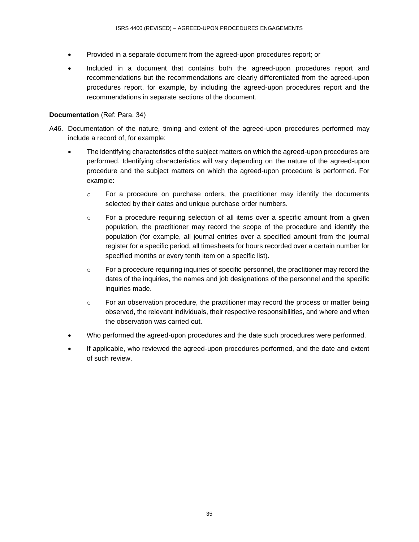- Provided in a separate document from the agreed-upon procedures report; or
- Included in a document that contains both the agreed-upon procedures report and recommendations but the recommendations are clearly differentiated from the agreed-upon procedures report, for example, by including the agreed-upon procedures report and the recommendations in separate sections of the document.

### **Documentation** (Ref: Para. 34)

- A46. Documentation of the nature, timing and extent of the agreed-upon procedures performed may include a record of, for example:
	- The identifying characteristics of the subject matters on which the agreed-upon procedures are performed. Identifying characteristics will vary depending on the nature of the agreed-upon procedure and the subject matters on which the agreed-upon procedure is performed. For example:
		- $\circ$  For a procedure on purchase orders, the practitioner may identify the documents selected by their dates and unique purchase order numbers.
		- o For a procedure requiring selection of all items over a specific amount from a given population, the practitioner may record the scope of the procedure and identify the population (for example, all journal entries over a specified amount from the journal register for a specific period, all timesheets for hours recorded over a certain number for specified months or every tenth item on a specific list).
		- $\circ$  For a procedure requiring inquiries of specific personnel, the practitioner may record the dates of the inquiries, the names and job designations of the personnel and the specific inquiries made.
		- $\circ$  For an observation procedure, the practitioner may record the process or matter being observed, the relevant individuals, their respective responsibilities, and where and when the observation was carried out.
	- Who performed the agreed-upon procedures and the date such procedures were performed.
	- If applicable, who reviewed the agreed-upon procedures performed, and the date and extent of such review.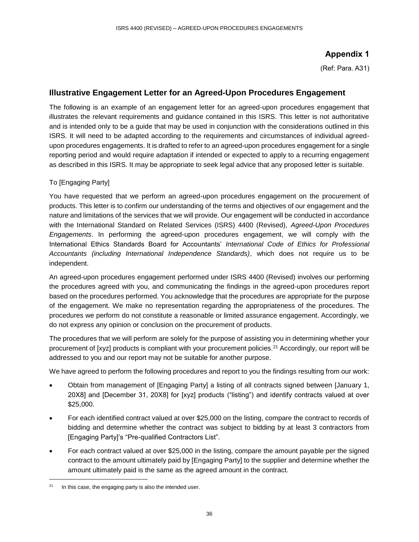# **Appendix 1**

(Ref: Para. A31)

# **Illustrative Engagement Letter for an Agreed-Upon Procedures Engagement**

The following is an example of an engagement letter for an agreed-upon procedures engagement that illustrates the relevant requirements and guidance contained in this ISRS. This letter is not authoritative and is intended only to be a guide that may be used in conjunction with the considerations outlined in this ISRS. It will need to be adapted according to the requirements and circumstances of individual agreedupon procedures engagements. It is drafted to refer to an agreed-upon procedures engagement for a single reporting period and would require adaptation if intended or expected to apply to a recurring engagement as described in this ISRS. It may be appropriate to seek legal advice that any proposed letter is suitable.

### To [Engaging Party]

You have requested that we perform an agreed-upon procedures engagement on the procurement of products. This letter is to confirm our understanding of the terms and objectives of our engagement and the nature and limitations of the services that we will provide. Our engagement will be conducted in accordance with the International Standard on Related Services (ISRS) 4400 (Revised), *Agreed-Upon Procedures Engagements*. In performing the agreed-upon procedures engagement, we will comply with the International Ethics Standards Board for Accountants' *International Code of Ethics for Professional Accountants (including International Independence Standards)*, which does not require us to be independent.

An agreed-upon procedures engagement performed under ISRS 4400 (Revised) involves our performing the procedures agreed with you, and communicating the findings in the agreed-upon procedures report based on the procedures performed. You acknowledge that the procedures are appropriate for the purpose of the engagement. We make no representation regarding the appropriateness of the procedures. The procedures we perform do not constitute a reasonable or limited assurance engagement. Accordingly, we do not express any opinion or conclusion on the procurement of products.

The procedures that we will perform are solely for the purpose of assisting you in determining whether your procurement of [xyz] products is compliant with your procurement policies.<sup>21</sup> Accordingly, our report will be addressed to you and our report may not be suitable for another purpose.

We have agreed to perform the following procedures and report to you the findings resulting from our work:

- Obtain from management of [Engaging Party] a listing of all contracts signed between [January 1, 20X8] and [December 31, 20X8] for [xyz] products ("listing") and identify contracts valued at over \$25,000.
- For each identified contract valued at over \$25,000 on the listing, compare the contract to records of bidding and determine whether the contract was subject to bidding by at least 3 contractors from [Engaging Party]'s "Pre-qualified Contractors List".
- For each contract valued at over \$25,000 in the listing, compare the amount payable per the signed contract to the amount ultimately paid by [Engaging Party] to the supplier and determine whether the amount ultimately paid is the same as the agreed amount in the contract.

l

 $21$  In this case, the engaging party is also the intended user.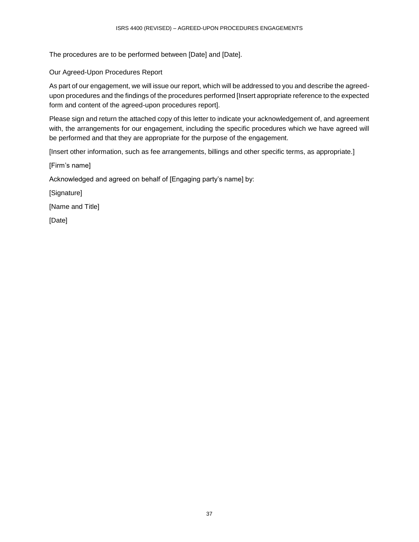The procedures are to be performed between [Date] and [Date].

Our Agreed-Upon Procedures Report

As part of our engagement, we will issue our report, which will be addressed to you and describe the agreedupon procedures and the findings of the procedures performed [Insert appropriate reference to the expected form and content of the agreed-upon procedures report].

Please sign and return the attached copy of this letter to indicate your acknowledgement of, and agreement with, the arrangements for our engagement, including the specific procedures which we have agreed will be performed and that they are appropriate for the purpose of the engagement.

[Insert other information, such as fee arrangements, billings and other specific terms, as appropriate.]

[Firm's name]

Acknowledged and agreed on behalf of [Engaging party's name] by:

[Signature]

[Name and Title]

[Date]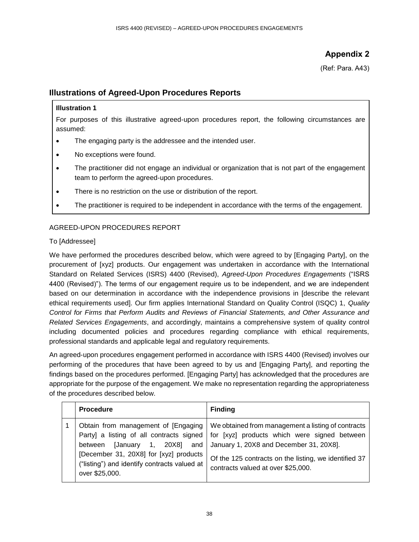# **Appendix 2**

(Ref: Para. A43)

# **Illustrations of Agreed-Upon Procedures Reports**

# **Illustration 1**

For purposes of this illustrative agreed-upon procedures report, the following circumstances are assumed:

- The engaging party is the addressee and the intended user.
- No exceptions were found.
- The practitioner did not engage an individual or organization that is not part of the engagement team to perform the agreed-upon procedures.
- There is no restriction on the use or distribution of the report.
- The practitioner is required to be independent in accordance with the terms of the engagement.

# AGREED-UPON PROCEDURES REPORT

# To [Addressee]

We have performed the procedures described below, which were agreed to by [Engaging Party], on the procurement of [xyz] products. Our engagement was undertaken in accordance with the International Standard on Related Services (ISRS) 4400 (Revised), *Agreed-Upon Procedures Engagements* ("ISRS 4400 (Revised)"). The terms of our engagement require us to be independent, and we are independent based on our determination in accordance with the independence provisions in [describe the relevant ethical requirements used]. Our firm applies International Standard on Quality Control (ISQC) 1, *Quality Control for Firms that Perform Audits and Reviews of Financial Statements, and Other Assurance and Related Services Engagements*, and accordingly, maintains a comprehensive system of quality control including documented policies and procedures regarding compliance with ethical requirements, professional standards and applicable legal and regulatory requirements.

An agreed-upon procedures engagement performed in accordance with ISRS 4400 (Revised) involves our performing of the procedures that have been agreed to by us and [Engaging Party], and reporting the findings based on the procedures performed. [Engaging Party] has acknowledged that the procedures are appropriate for the purpose of the engagement. We make no representation regarding the appropriateness of the procedures described below.

| <b>Procedure</b>                                                                                                                                            | <b>Finding</b>                                                                                                                                                                                                                                                                                                  |
|-------------------------------------------------------------------------------------------------------------------------------------------------------------|-----------------------------------------------------------------------------------------------------------------------------------------------------------------------------------------------------------------------------------------------------------------------------------------------------------------|
| Obtain from management of [Engaging]<br>between<br>[December 31, 20X8] for [xyz] products<br>("listing") and identify contracts valued at<br>over \$25,000. | We obtained from management a listing of contracts<br>Party] a listing of all contracts signed   for [xyz] products which were signed between<br>[January 1, 20X8] and   January 1, 20X8 and December 31, 20X8].<br>Of the 125 contracts on the listing, we identified 37<br>contracts valued at over \$25,000. |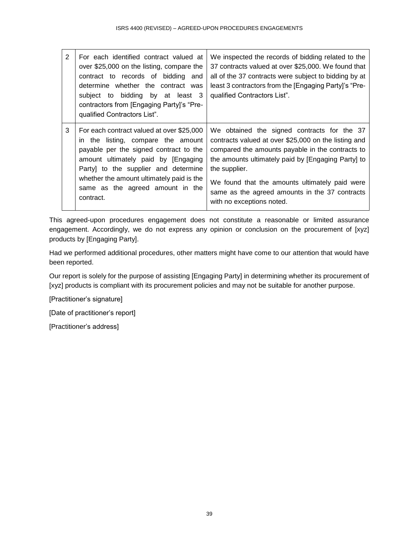| 2 | For each identified contract valued at<br>over \$25,000 on the listing, compare the<br>contract to records of bidding and<br>determine whether the contract was<br>subject to bidding by at least 3<br>contractors from [Engaging Party]'s "Pre-<br>qualified Contractors List".                        | We inspected the records of bidding related to the<br>37 contracts valued at over \$25,000. We found that<br>all of the 37 contracts were subject to bidding by at<br>least 3 contractors from the [Engaging Party]'s "Pre-<br>qualified Contractors List".                                                                                                     |
|---|---------------------------------------------------------------------------------------------------------------------------------------------------------------------------------------------------------------------------------------------------------------------------------------------------------|-----------------------------------------------------------------------------------------------------------------------------------------------------------------------------------------------------------------------------------------------------------------------------------------------------------------------------------------------------------------|
| 3 | For each contract valued at over \$25,000<br>in the listing, compare the amount<br>payable per the signed contract to the<br>amount ultimately paid by [Engaging]<br>Party] to the supplier and determine<br>whether the amount ultimately paid is the<br>same as the agreed amount in the<br>contract. | We obtained the signed contracts for the 37<br>contracts valued at over \$25,000 on the listing and<br>compared the amounts payable in the contracts to<br>the amounts ultimately paid by [Engaging Party] to<br>the supplier.<br>We found that the amounts ultimately paid were<br>same as the agreed amounts in the 37 contracts<br>with no exceptions noted. |

This agreed-upon procedures engagement does not constitute a reasonable or limited assurance engagement. Accordingly, we do not express any opinion or conclusion on the procurement of [xyz] products by [Engaging Party].

Had we performed additional procedures, other matters might have come to our attention that would have been reported.

Our report is solely for the purpose of assisting [Engaging Party] in determining whether its procurement of [xyz] products is compliant with its procurement policies and may not be suitable for another purpose.

[Practitioner's signature]

[Date of practitioner's report]

[Practitioner's address]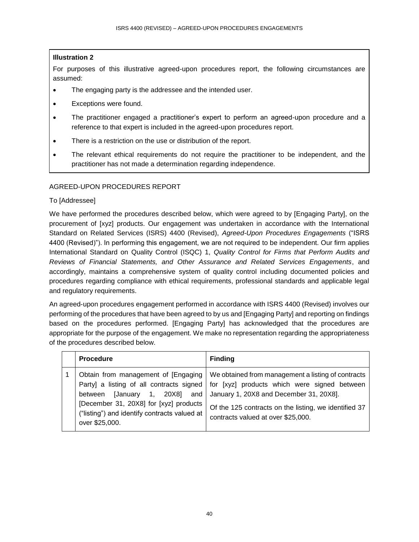# **Illustration 2**

For purposes of this illustrative agreed-upon procedures report, the following circumstances are assumed:

- The engaging party is the addressee and the intended user.
- Exceptions were found.
- The practitioner engaged a practitioner's expert to perform an agreed-upon procedure and a reference to that expert is included in the agreed-upon procedures report.
- There is a restriction on the use or distribution of the report.
- The relevant ethical requirements do not require the practitioner to be independent, and the practitioner has not made a determination regarding independence.

# AGREED-UPON PROCEDURES REPORT

### To [Addressee]

We have performed the procedures described below, which were agreed to by [Engaging Party], on the procurement of [xyz] products. Our engagement was undertaken in accordance with the International Standard on Related Services (ISRS) 4400 (Revised), *Agreed-Upon Procedures Engagements* ("ISRS 4400 (Revised)"). In performing this engagement, we are not required to be independent. Our firm applies International Standard on Quality Control (ISQC) 1, *Quality Control for Firms that Perform Audits and Reviews of Financial Statements, and Other Assurance and Related Services Engagements*, and accordingly, maintains a comprehensive system of quality control including documented policies and procedures regarding compliance with ethical requirements, professional standards and applicable legal and regulatory requirements.

An agreed-upon procedures engagement performed in accordance with ISRS 4400 (Revised) involves our performing of the procedures that have been agreed to by us and [Engaging Party] and reporting on findings based on the procedures performed. [Engaging Party] has acknowledged that the procedures are appropriate for the purpose of the engagement. We make no representation regarding the appropriateness of the procedures described below.

| <b>Procedure</b>                                                                                                                                                                                                                    | <b>Finding</b>                                                                                                                                                                                                                               |
|-------------------------------------------------------------------------------------------------------------------------------------------------------------------------------------------------------------------------------------|----------------------------------------------------------------------------------------------------------------------------------------------------------------------------------------------------------------------------------------------|
| Obtain from management of [Engaging]<br>Party] a listing of all contracts signed<br>[January 1, $20X8$ ] and<br>between<br>[December 31, 20X8] for [xyz] products<br>("listing") and identify contracts valued at<br>over \$25,000. | We obtained from management a listing of contracts<br>for [xyz] products which were signed between<br>January 1, 20X8 and December 31, 20X8].<br>Of the 125 contracts on the listing, we identified 37<br>contracts valued at over \$25,000. |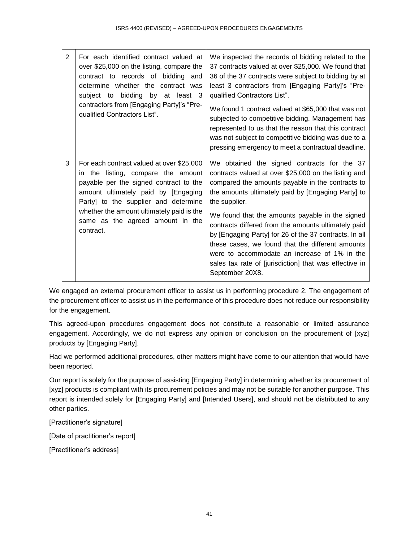| $\overline{2}$ | For each identified contract valued at<br>over \$25,000 on the listing, compare the<br>contract to records of bidding and<br>determine whether the contract was<br>subject to bidding by at least 3<br>contractors from [Engaging Party]'s "Pre-<br>qualified Contractors List".                       | We inspected the records of bidding related to the<br>37 contracts valued at over \$25,000. We found that<br>36 of the 37 contracts were subject to bidding by at<br>least 3 contractors from [Engaging Party]'s "Pre-<br>qualified Contractors List".<br>We found 1 contract valued at \$65,000 that was not<br>subjected to competitive bidding. Management has<br>represented to us that the reason that this contract<br>was not subject to competitive bidding was due to a<br>pressing emergency to meet a contractual deadline.                                              |
|----------------|--------------------------------------------------------------------------------------------------------------------------------------------------------------------------------------------------------------------------------------------------------------------------------------------------------|-------------------------------------------------------------------------------------------------------------------------------------------------------------------------------------------------------------------------------------------------------------------------------------------------------------------------------------------------------------------------------------------------------------------------------------------------------------------------------------------------------------------------------------------------------------------------------------|
| 3              | For each contract valued at over \$25,000<br>in the listing, compare the amount<br>payable per the signed contract to the<br>amount ultimately paid by [Engaging<br>Party] to the supplier and determine<br>whether the amount ultimately paid is the<br>same as the agreed amount in the<br>contract. | We obtained the signed contracts for the 37<br>contracts valued at over \$25,000 on the listing and<br>compared the amounts payable in the contracts to<br>the amounts ultimately paid by [Engaging Party] to<br>the supplier.<br>We found that the amounts payable in the signed<br>contracts differed from the amounts ultimately paid<br>by [Engaging Party] for 26 of the 37 contracts. In all<br>these cases, we found that the different amounts<br>were to accommodate an increase of 1% in the<br>sales tax rate of [jurisdiction] that was effective in<br>September 20X8. |

We engaged an external procurement officer to assist us in performing procedure 2. The engagement of the procurement officer to assist us in the performance of this procedure does not reduce our responsibility for the engagement.

This agreed-upon procedures engagement does not constitute a reasonable or limited assurance engagement. Accordingly, we do not express any opinion or conclusion on the procurement of [xyz] products by [Engaging Party].

Had we performed additional procedures, other matters might have come to our attention that would have been reported.

Our report is solely for the purpose of assisting [Engaging Party] in determining whether its procurement of [xyz] products is compliant with its procurement policies and may not be suitable for another purpose. This report is intended solely for [Engaging Party] and [Intended Users], and should not be distributed to any other parties.

[Practitioner's signature]

[Date of practitioner's report]

[Practitioner's address]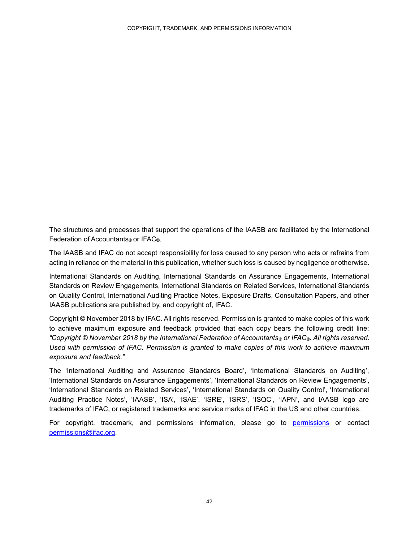The structures and processes that support the operations of the IAASB are facilitated by the International Federation of Accountants® or IFAC®.

The IAASB and IFAC do not accept responsibility for loss caused to any person who acts or refrains from acting in reliance on the material in this publication, whether such loss is caused by negligence or otherwise.

International Standards on Auditing, International Standards on Assurance Engagements, International Standards on Review Engagements, International Standards on Related Services, International Standards on Quality Control, International Auditing Practice Notes, Exposure Drafts, Consultation Papers, and other IAASB publications are published by, and copyright of, IFAC.

Copyright © November 2018 by IFAC. All rights reserved. Permission is granted to make copies of this work to achieve maximum exposure and feedback provided that each copy bears the following credit line: *"Copyright © November 2018 by the International Federation of Accountants® or IFAC®. All rights reserved. Used with permission of IFAC. Permission is granted to make copies of this work to achieve maximum exposure and feedback."*

The 'International Auditing and Assurance Standards Board', 'International Standards on Auditing', 'International Standards on Assurance Engagements', 'International Standards on Review Engagements', 'International Standards on Related Services', 'International Standards on Quality Control', 'International Auditing Practice Notes', 'IAASB', 'ISA', 'ISAE', 'ISRE', 'ISRS', 'ISQC', 'IAPN', and IAASB logo are trademarks of IFAC, or registered trademarks and service marks of IFAC in the US and other countries.

For copyright, trademark, and permissions information, please go to permissions or contact permissions@ifac.org.